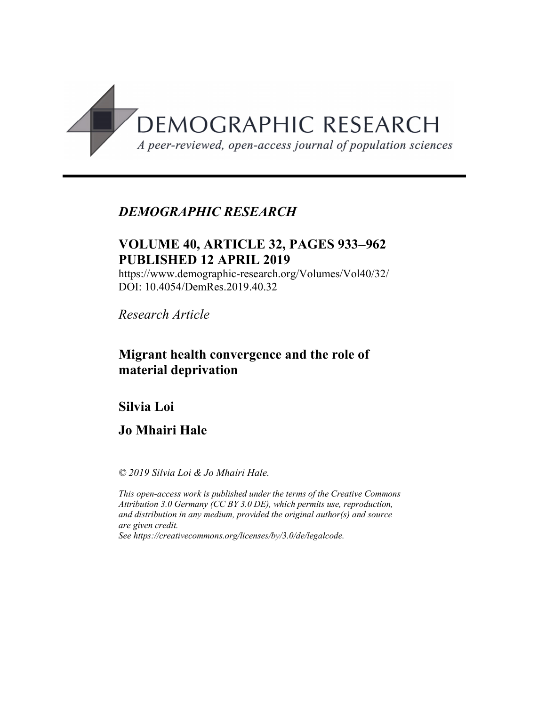

# *DEMOGRAPHIC RESEARCH*

# **VOLUME 40, ARTICLE 32, PAGES 933**-**962 PUBLISHED 12 APRIL 2019**

https://www.demographic-research.org/Volumes/Vol40/32/ DOI: 10.4054/DemRes.2019.40.32

*Research Article*

# **Migrant health convergence and the role of material deprivation**

# **Silvia Loi**

**Jo Mhairi Hale**

*© 2019 Silvia Loi & Jo Mhairi Hale.*

*This open-access work is published under the terms of the Creative Commons Attribution 3.0 Germany (CC BY 3.0 DE), which permits use, reproduction, and distribution in any medium, provided the original author(s) and source are given credit.*

*See [https://creativecommons.org/licenses/by/3.0/de/legalcode.](https://creativecommons.org/licenses/by/3.0/de/legalcode)*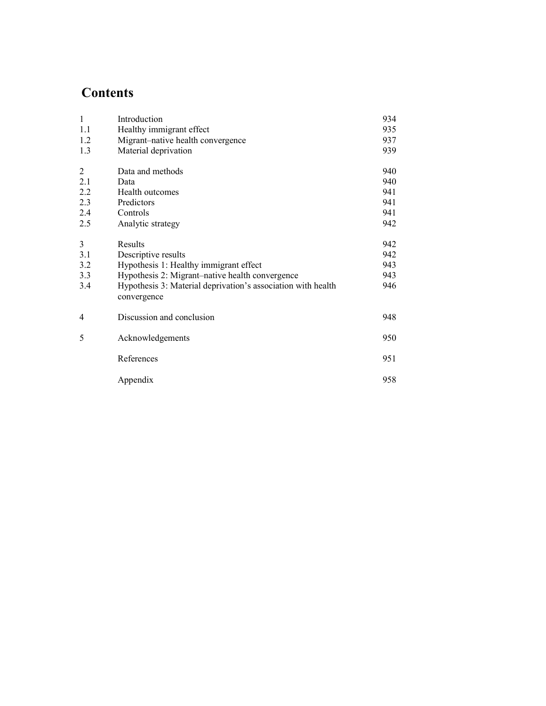# **Contents**

| $\mathbf{1}$   | Introduction                                                                | 934 |
|----------------|-----------------------------------------------------------------------------|-----|
| 1.1            | Healthy immigrant effect                                                    | 935 |
| 1.2            | Migrant-native health convergence                                           | 937 |
| 1.3            | Material deprivation                                                        | 939 |
| $\overline{2}$ | Data and methods                                                            | 940 |
| 2.1            | Data                                                                        | 940 |
| 2.2            | Health outcomes                                                             | 941 |
| 2.3            | Predictors                                                                  | 941 |
| 2.4            | Controls                                                                    | 941 |
| 2.5            | Analytic strategy                                                           | 942 |
| 3              | Results                                                                     | 942 |
| 3.1            | Descriptive results                                                         | 942 |
| 3.2            | Hypothesis 1: Healthy immigrant effect                                      | 943 |
| 3.3            | Hypothesis 2: Migrant-native health convergence                             | 943 |
| 3.4            | Hypothesis 3: Material deprivation's association with health<br>convergence | 946 |
| 4              | Discussion and conclusion                                                   | 948 |
| 5              | Acknowledgements                                                            | 950 |
|                | References                                                                  | 951 |
|                | Appendix                                                                    | 958 |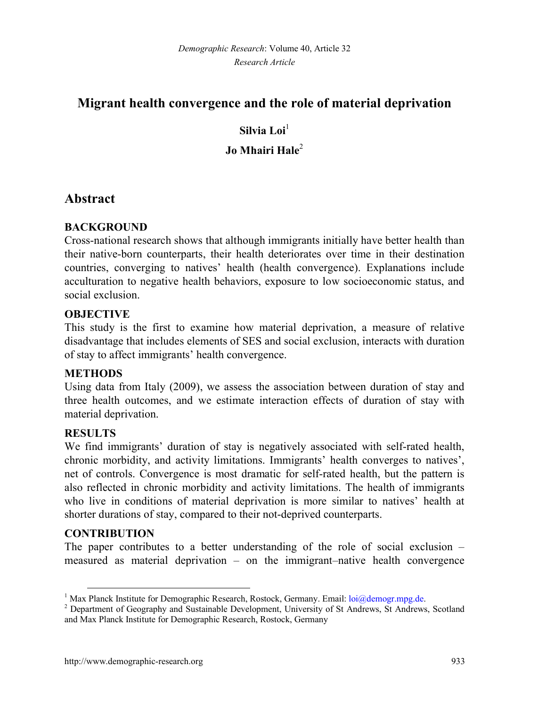# **Migrant health convergence and the role of material deprivation**

# **Silvia Loi**[1](#page-2-0) **Jo Mhairi Hale**[2](#page-2-1)

# **Abstract**

### **BACKGROUND**

Cross-national research shows that although immigrants initially have better health than their native-born counterparts, their health deteriorates over time in their destination countries, converging to natives' health (health convergence). Explanations include acculturation to negative health behaviors, exposure to low socioeconomic status, and social exclusion.

### **OBJECTIVE**

This study is the first to examine how material deprivation, a measure of relative disadvantage that includes elements of SES and social exclusion, interacts with duration of stay to affect immigrants' health convergence.

### **METHODS**

Using data from Italy (2009), we assess the association between duration of stay and three health outcomes, and we estimate interaction effects of duration of stay with material deprivation.

### **RESULTS**

We find immigrants' duration of stay is negatively associated with self-rated health, chronic morbidity, and activity limitations. Immigrants' health converges to natives', net of controls. Convergence is most dramatic for self-rated health, but the pattern is also reflected in chronic morbidity and activity limitations. The health of immigrants who live in conditions of material deprivation is more similar to natives' health at shorter durations of stay, compared to their not-deprived counterparts.

### **CONTRIBUTION**

The paper contributes to a better understanding of the role of social exclusion – measured as material deprivation – on the immigrant–native health convergence

<span id="page-2-0"></span><sup>&</sup>lt;sup>1</sup> Max Planck Institute for Demographic Research, Rostock, Germany. Email: [loi@demogr.mpg.de.](mailto:loi@demogr.mpg.de)

<span id="page-2-1"></span><sup>2</sup> Department of Geography and Sustainable Development, University of St Andrews, St Andrews, Scotland and Max Planck Institute for Demographic Research, Rostock, Germany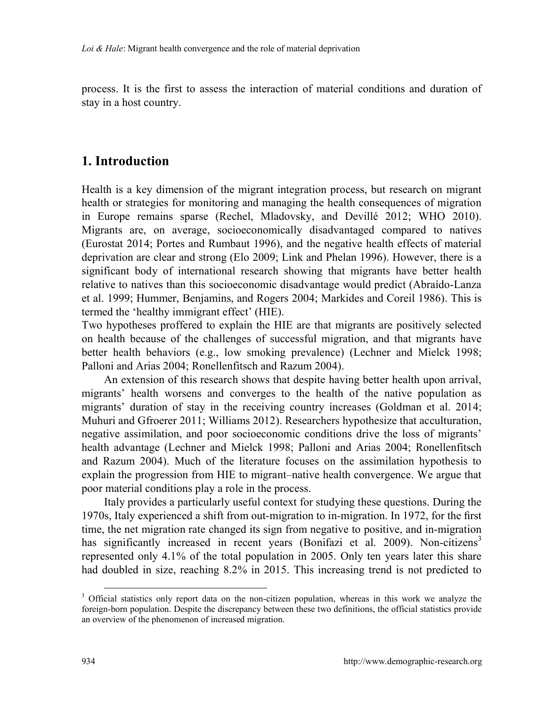process. It is the first to assess the interaction of material conditions and duration of stay in a host country.

# **1. Introduction**

Health is a key dimension of the migrant integration process, but research on migrant health or strategies for monitoring and managing the health consequences of migration in Europe remains sparse (Rechel, Mladovsky, and Devillé 2012; WHO 2010). Migrants are, on average, socioeconomically disadvantaged compared to natives (Eurostat 2014; Portes and Rumbaut 1996), and the negative health effects of material deprivation are clear and strong (Elo 2009; Link and Phelan 1996). However, there is a significant body of international research showing that migrants have better health relative to natives than this socioeconomic disadvantage would predict (Abraído-Lanza et al. 1999; Hummer, Benjamins, and Rogers 2004; Markides and Coreil 1986). This is termed the 'healthy immigrant effect' (HIE).

Two hypotheses proffered to explain the HIE are that migrants are positively selected on health because of the challenges of successful migration, and that migrants have better health behaviors (e.g., low smoking prevalence) (Lechner and Mielck 1998; Palloni and Arias 2004; Ronellenfitsch and Razum 2004).

An extension of this research shows that despite having better health upon arrival, migrants' health worsens and converges to the health of the native population as migrants' duration of stay in the receiving country increases (Goldman et al. 2014; Muhuri and Gfroerer 2011; Williams 2012). Researchers hypothesize that acculturation, negative assimilation, and poor socioeconomic conditions drive the loss of migrants' health advantage (Lechner and Mielck 1998; Palloni and Arias 2004; Ronellenfitsch and Razum 2004). Much of the literature focuses on the assimilation hypothesis to explain the progression from HIE to migrant–native health convergence. We argue that poor material conditions play a role in the process.

Italy provides a particularly useful context for studying these questions. During the 1970s, Italy experienced a shift from out-migration to in-migration. In 1972, for the first time, the net migration rate changed its sign from negative to positive, and in-migration has significantly increased in recent years (Bonifazi et al. 2009). Non-citizens<sup>[3](#page-3-0)</sup> represented only 4.1% of the total population in 2005. Only ten years later this share had doubled in size, reaching 8.2% in 2015. This increasing trend is not predicted to

<span id="page-3-0"></span><sup>&</sup>lt;sup>3</sup> Official statistics only report data on the non-citizen population, whereas in this work we analyze the foreign-born population. Despite the discrepancy between these two definitions, the official statistics provide an overview of the phenomenon of increased migration.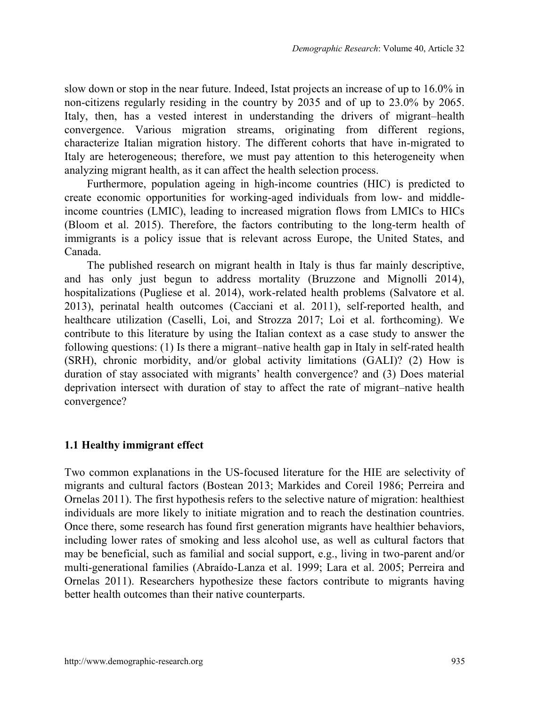slow down or stop in the near future. Indeed, Istat projects an increase of up to 16.0% in non-citizens regularly residing in the country by 2035 and of up to 23.0% by 2065. Italy, then, has a vested interest in understanding the drivers of migrant–health convergence. Various migration streams, originating from different regions, characterize Italian migration history. The different cohorts that have in-migrated to Italy are heterogeneous; therefore, we must pay attention to this heterogeneity when analyzing migrant health, as it can affect the health selection process.

Furthermore, population ageing in high-income countries (HIC) is predicted to create economic opportunities for working-aged individuals from low- and middleincome countries (LMIC), leading to increased migration flows from LMICs to HICs (Bloom et al. 2015). Therefore, the factors contributing to the long-term health of immigrants is a policy issue that is relevant across Europe, the United States, and Canada.

The published research on migrant health in Italy is thus far mainly descriptive, and has only just begun to address mortality (Bruzzone and Mignolli 2014), hospitalizations (Pugliese et al. 2014), work-related health problems (Salvatore et al. 2013), perinatal health outcomes (Cacciani et al. 2011), self-reported health, and healthcare utilization (Caselli, Loi, and Strozza 2017; Loi et al. forthcoming). We contribute to this literature by using the Italian context as a case study to answer the following questions: (1) Is there a migrant–native health gap in Italy in self-rated health (SRH), chronic morbidity, and/or global activity limitations (GALI)? (2) How is duration of stay associated with migrants' health convergence? and (3) Does material deprivation intersect with duration of stay to affect the rate of migrant–native health convergence?

### **1.1 Healthy immigrant effect**

Two common explanations in the US-focused literature for the HIE are selectivity of migrants and cultural factors (Bostean 2013; Markides and Coreil 1986; Perreira and Ornelas 2011). The first hypothesis refers to the selective nature of migration: healthiest individuals are more likely to initiate migration and to reach the destination countries. Once there, some research has found first generation migrants have healthier behaviors, including lower rates of smoking and less alcohol use, as well as cultural factors that may be beneficial, such as familial and social support, e.g., living in two-parent and/or multi-generational families (Abraído-Lanza et al. 1999; Lara et al. 2005; Perreira and Ornelas 2011). Researchers hypothesize these factors contribute to migrants having better health outcomes than their native counterparts.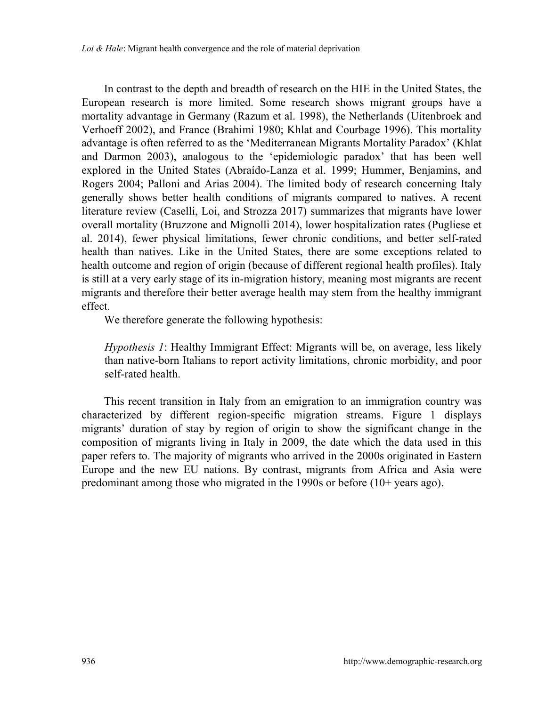In contrast to the depth and breadth of research on the HIE in the United States, the European research is more limited. Some research shows migrant groups have a mortality advantage in Germany (Razum et al. 1998), the Netherlands (Uitenbroek and Verhoeff 2002), and France (Brahimi 1980; Khlat and Courbage 1996). This mortality advantage is often referred to as the 'Mediterranean Migrants Mortality Paradox' (Khlat and Darmon 2003), analogous to the 'epidemiologic paradox' that has been well explored in the United States (Abraído-Lanza et al. 1999; Hummer, Benjamins, and Rogers 2004; Palloni and Arias 2004). The limited body of research concerning Italy generally shows better health conditions of migrants compared to natives. A recent literature review (Caselli, Loi, and Strozza 2017) summarizes that migrants have lower overall mortality (Bruzzone and Mignolli 2014), lower hospitalization rates (Pugliese et al. 2014), fewer physical limitations, fewer chronic conditions, and better self-rated health than natives. Like in the United States, there are some exceptions related to health outcome and region of origin (because of different regional health profiles). Italy is still at a very early stage of its in-migration history, meaning most migrants are recent migrants and therefore their better average health may stem from the healthy immigrant effect.

We therefore generate the following hypothesis:

*Hypothesis 1*: Healthy Immigrant Effect: Migrants will be, on average, less likely than native-born Italians to report activity limitations, chronic morbidity, and poor self-rated health.

This recent transition in Italy from an emigration to an immigration country was characterized by different region-specific migration streams. Figure 1 displays migrants' duration of stay by region of origin to show the significant change in the composition of migrants living in Italy in 2009, the date which the data used in this paper refers to. The majority of migrants who arrived in the 2000s originated in Eastern Europe and the new EU nations. By contrast, migrants from Africa and Asia were predominant among those who migrated in the 1990s or before (10+ years ago).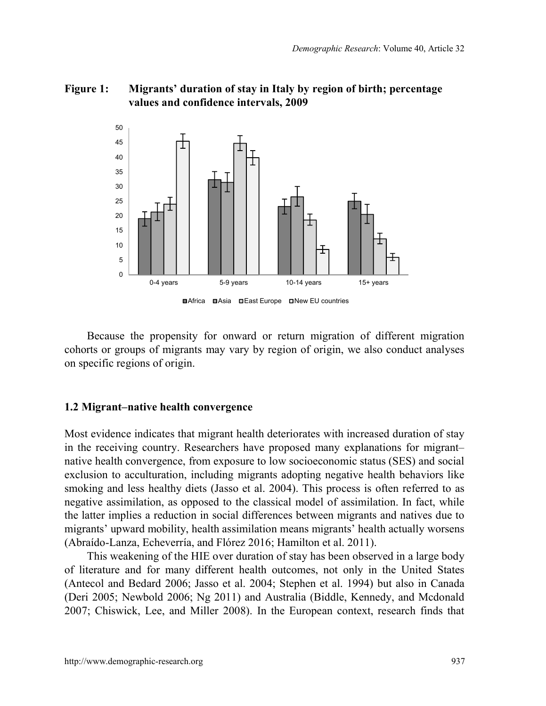### **Figure 1: Migrants' duration of stay in Italy by region of birth; percentage values and confidence intervals, 2009**



Because the propensity for onward or return migration of different migration cohorts or groups of migrants may vary by region of origin, we also conduct analyses on specific regions of origin.

#### **1.2 Migrant–native health convergence**

Most evidence indicates that migrant health deteriorates with increased duration of stay in the receiving country. Researchers have proposed many explanations for migrant– native health convergence, from exposure to low socioeconomic status (SES) and social exclusion to acculturation, including migrants adopting negative health behaviors like smoking and less healthy diets (Jasso et al. 2004). This process is often referred to as negative assimilation, as opposed to the classical model of assimilation. In fact, while the latter implies a reduction in social differences between migrants and natives due to migrants' upward mobility, health assimilation means migrants' health actually worsens (Abraído-Lanza, Echeverría, and Flórez 2016; Hamilton et al. 2011).

This weakening of the HIE over duration of stay has been observed in a large body of literature and for many different health outcomes, not only in the United States (Antecol and Bedard 2006; Jasso et al. 2004; Stephen et al. 1994) but also in Canada (Deri 2005; Newbold 2006; Ng 2011) and Australia (Biddle, Kennedy, and Mcdonald 2007; Chiswick, Lee, and Miller 2008). In the European context, research finds that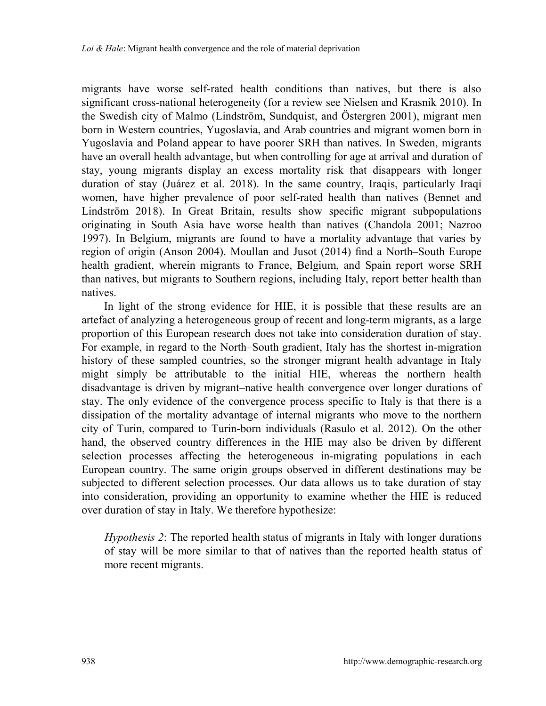migrants have worse self-rated health conditions than natives, but there is also significant cross-national heterogeneity (for a review see Nielsen and Krasnik 2010). In the Swedish city of Malmo (Lindström, Sundquist, and Östergren 2001), migrant men born in Western countries, Yugoslavia, and Arab countries and migrant women born in Yugoslavia and Poland appear to have poorer SRH than natives. In Sweden, migrants have an overall health advantage, but when controlling for age at arrival and duration of stay, young migrants display an excess mortality risk that disappears with longer duration of stay (Juárez et al. 2018). In the same country, Iraqis, particularly Iraqi women, have higher prevalence of poor self-rated health than natives (Bennet and Lindström 2018). In Great Britain, results show specific migrant subpopulations originating in South Asia have worse health than natives (Chandola 2001; Nazroo 1997). In Belgium, migrants are found to have a mortality advantage that varies by region of origin (Anson 2004). Moullan and Jusot (2014) find a North–South Europe health gradient, wherein migrants to France, Belgium, and Spain report worse SRH than natives, but migrants to Southern regions, including Italy, report better health than natives.

In light of the strong evidence for HIE, it is possible that these results are an artefact of analyzing a heterogeneous group of recent and long-term migrants, as a large proportion of this European research does not take into consideration duration of stay. For example, in regard to the North–South gradient, Italy has the shortest in-migration history of these sampled countries, so the stronger migrant health advantage in Italy might simply be attributable to the initial HIE, whereas the northern health disadvantage is driven by migrant–native health convergence over longer durations of stay. The only evidence of the convergence process specific to Italy is that there is a dissipation of the mortality advantage of internal migrants who move to the northern city of Turin, compared to Turin-born individuals (Rasulo et al. 2012). On the other hand, the observed country differences in the HIE may also be driven by different selection processes affecting the heterogeneous in-migrating populations in each European country. The same origin groups observed in different destinations may be subjected to different selection processes. Our data allows us to take duration of stay into consideration, providing an opportunity to examine whether the HIE is reduced over duration of stay in Italy. We therefore hypothesize:

*Hypothesis 2*: The reported health status of migrants in Italy with longer durations of stay will be more similar to that of natives than the reported health status of more recent migrants.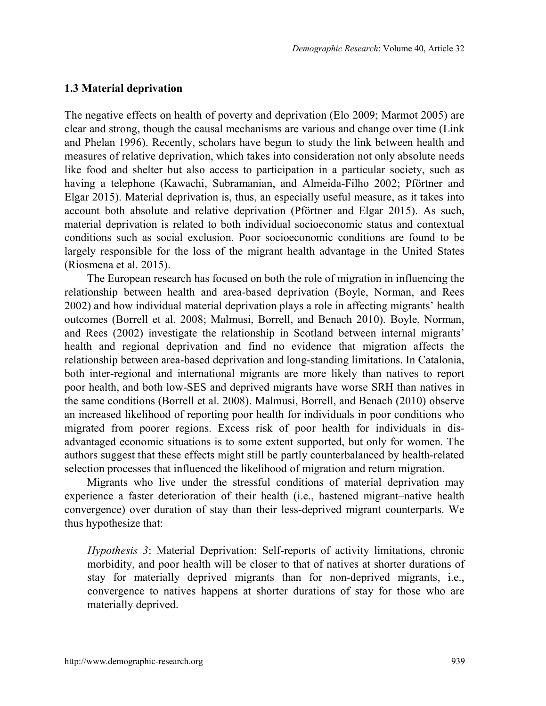#### **1.3 Material deprivation**

The negative effects on health of poverty and deprivation (Elo 2009; Marmot 2005) are clear and strong, though the causal mechanisms are various and change over time (Link and Phelan 1996). Recently, scholars have begun to study the link between health and measures of relative deprivation, which takes into consideration not only absolute needs like food and shelter but also access to participation in a particular society, such as having a telephone (Kawachi, Subramanian, and Almeida-Filho 2002; Pförtner and Elgar 2015). Material deprivation is, thus, an especially useful measure, as it takes into account both absolute and relative deprivation (Pförtner and Elgar 2015). As such, material deprivation is related to both individual socioeconomic status and contextual conditions such as social exclusion. Poor socioeconomic conditions are found to be largely responsible for the loss of the migrant health advantage in the United States (Riosmena et al. 2015).

The European research has focused on both the role of migration in influencing the relationship between health and area-based deprivation (Boyle, Norman, and Rees 2002) and how individual material deprivation plays a role in affecting migrants' health outcomes (Borrell et al. 2008; Malmusi, Borrell, and Benach 2010). Boyle, Norman, and Rees (2002) investigate the relationship in Scotland between internal migrants' health and regional deprivation and find no evidence that migration affects the relationship between area-based deprivation and long-standing limitations. In Catalonia, both inter-regional and international migrants are more likely than natives to report poor health, and both low-SES and deprived migrants have worse SRH than natives in the same conditions (Borrell et al. 2008). Malmusi, Borrell, and Benach (2010) observe an increased likelihood of reporting poor health for individuals in poor conditions who migrated from poorer regions. Excess risk of poor health for individuals in disadvantaged economic situations is to some extent supported, but only for women. The authors suggest that these effects might still be partly counterbalanced by health-related selection processes that influenced the likelihood of migration and return migration.

Migrants who live under the stressful conditions of material deprivation may experience a faster deterioration of their health (i.e., hastened migrant–native health convergence) over duration of stay than their less-deprived migrant counterparts. We thus hypothesize that:

*Hypothesis 3*: Material Deprivation: Self-reports of activity limitations, chronic morbidity, and poor health will be closer to that of natives at shorter durations of stay for materially deprived migrants than for non-deprived migrants, i.e., convergence to natives happens at shorter durations of stay for those who are materially deprived.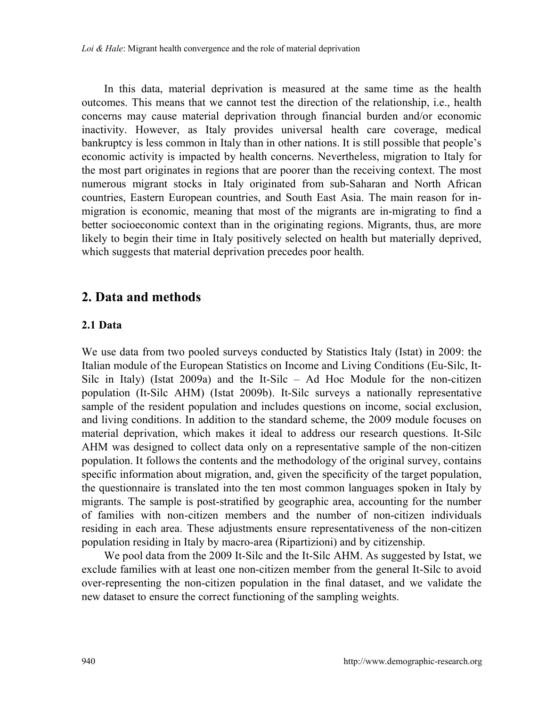*Loi & Hale*: Migrant health convergence and the role of material deprivation

In this data, material deprivation is measured at the same time as the health outcomes. This means that we cannot test the direction of the relationship, i.e., health concerns may cause material deprivation through financial burden and/or economic inactivity. However, as Italy provides universal health care coverage, medical bankruptcy is less common in Italy than in other nations. It is still possible that people's economic activity is impacted by health concerns. Nevertheless, migration to Italy for the most part originates in regions that are poorer than the receiving context. The most numerous migrant stocks in Italy originated from sub-Saharan and North African countries, Eastern European countries, and South East Asia. The main reason for inmigration is economic, meaning that most of the migrants are in-migrating to find a better socioeconomic context than in the originating regions. Migrants, thus, are more likely to begin their time in Italy positively selected on health but materially deprived, which suggests that material deprivation precedes poor health.

# **2. Data and methods**

### **2.1 Data**

We use data from two pooled surveys conducted by Statistics Italy (Istat) in 2009: the Italian module of the European Statistics on Income and Living Conditions (Eu-Silc, It-Silc in Italy) (Istat 2009a) and the It-Silc – Ad Hoc Module for the non-citizen population (It-Silc AHM) (Istat 2009b). It-Silc surveys a nationally representative sample of the resident population and includes questions on income, social exclusion, and living conditions. In addition to the standard scheme, the 2009 module focuses on material deprivation, which makes it ideal to address our research questions. It-Silc AHM was designed to collect data only on a representative sample of the non-citizen population. It follows the contents and the methodology of the original survey, contains specific information about migration, and, given the specificity of the target population, the questionnaire is translated into the ten most common languages spoken in Italy by migrants. The sample is post-stratified by geographic area, accounting for the number of families with non-citizen members and the number of non-citizen individuals residing in each area. These adjustments ensure representativeness of the non-citizen population residing in Italy by macro-area (Ripartizioni) and by citizenship.

We pool data from the 2009 It-Silc and the It-Silc AHM. As suggested by Istat, we exclude families with at least one non-citizen member from the general It-Silc to avoid over-representing the non-citizen population in the final dataset, and we validate the new dataset to ensure the correct functioning of the sampling weights.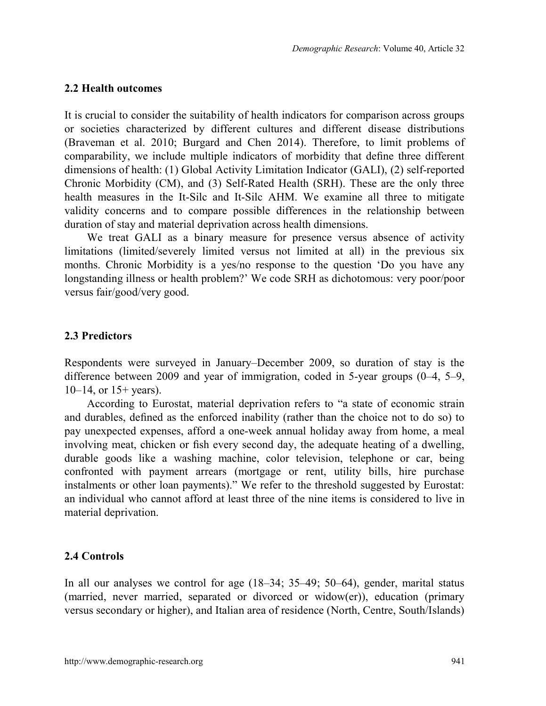#### **2.2 Health outcomes**

It is crucial to consider the suitability of health indicators for comparison across groups or societies characterized by different cultures and different disease distributions (Braveman et al. 2010; Burgard and Chen 2014). Therefore, to limit problems of comparability, we include multiple indicators of morbidity that define three different dimensions of health: (1) Global Activity Limitation Indicator (GALI), (2) self-reported Chronic Morbidity (CM), and (3) Self-Rated Health (SRH). These are the only three health measures in the It-Silc and It-Silc AHM. We examine all three to mitigate validity concerns and to compare possible differences in the relationship between duration of stay and material deprivation across health dimensions.

We treat GALI as a binary measure for presence versus absence of activity limitations (limited/severely limited versus not limited at all) in the previous six months. Chronic Morbidity is a yes/no response to the question 'Do you have any longstanding illness or health problem?' We code SRH as dichotomous: very poor/poor versus fair/good/very good.

#### **2.3 Predictors**

Respondents were surveyed in January–December 2009, so duration of stay is the difference between 2009 and year of immigration, coded in 5-year groups (0–4, 5–9,  $10-14$ , or  $15+$  years).

According to Eurostat, material deprivation refers to "a state of economic strain and durables, defined as the enforced inability (rather than the choice not to do so) to pay unexpected expenses, afford a one-week annual holiday away from home, a meal involving meat, chicken or fish every second day, the adequate heating of a dwelling, durable goods like a washing machine, color television, telephone or car, being confronted with payment arrears (mortgage or rent, utility bills, hire purchase instalments or other loan payments)." We refer to the threshold suggested by Eurostat: an individual who cannot afford at least three of the nine items is considered to live in material deprivation.

#### **2.4 Controls**

In all our analyses we control for age (18–34; 35–49; 50–64), gender, marital status (married, never married, separated or divorced or widow(er)), education (primary versus secondary or higher), and Italian area of residence (North, Centre, South/Islands)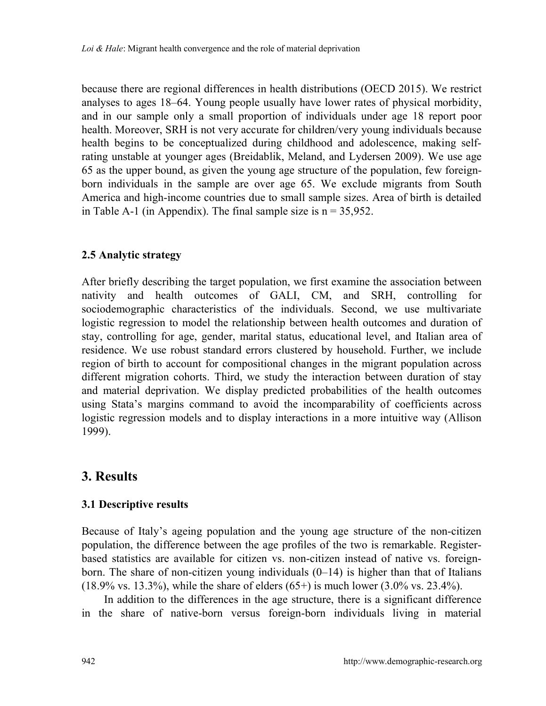because there are regional differences in health distributions (OECD 2015). We restrict analyses to ages 18–64. Young people usually have lower rates of physical morbidity, and in our sample only a small proportion of individuals under age 18 report poor health. Moreover, SRH is not very accurate for children/very young individuals because health begins to be conceptualized during childhood and adolescence, making selfrating unstable at younger ages (Breidablik, Meland, and Lydersen 2009). We use age 65 as the upper bound, as given the young age structure of the population, few foreignborn individuals in the sample are over age 65. We exclude migrants from South America and high-income countries due to small sample sizes. Area of birth is detailed in Table A-1 (in Appendix). The final sample size is  $n = 35.952$ .

### **2.5 Analytic strategy**

After briefly describing the target population, we first examine the association between nativity and health outcomes of GALI, CM, and SRH, controlling for sociodemographic characteristics of the individuals. Second, we use multivariate logistic regression to model the relationship between health outcomes and duration of stay, controlling for age, gender, marital status, educational level, and Italian area of residence. We use robust standard errors clustered by household. Further, we include region of birth to account for compositional changes in the migrant population across different migration cohorts. Third, we study the interaction between duration of stay and material deprivation. We display predicted probabilities of the health outcomes using Stata's margins command to avoid the incomparability of coefficients across logistic regression models and to display interactions in a more intuitive way (Allison 1999).

# **3. Results**

### **3.1 Descriptive results**

Because of Italy's ageing population and the young age structure of the non-citizen population, the difference between the age profiles of the two is remarkable. Registerbased statistics are available for citizen vs. non-citizen instead of native vs. foreignborn. The share of non-citizen young individuals  $(0-14)$  is higher than that of Italians  $(18.9\% \text{ vs. } 13.3\%)$ , while the share of elders  $(65+)$  is much lower  $(3.0\% \text{ vs. } 23.4\%)$ .

In addition to the differences in the age structure, there is a significant difference in the share of native-born versus foreign-born individuals living in material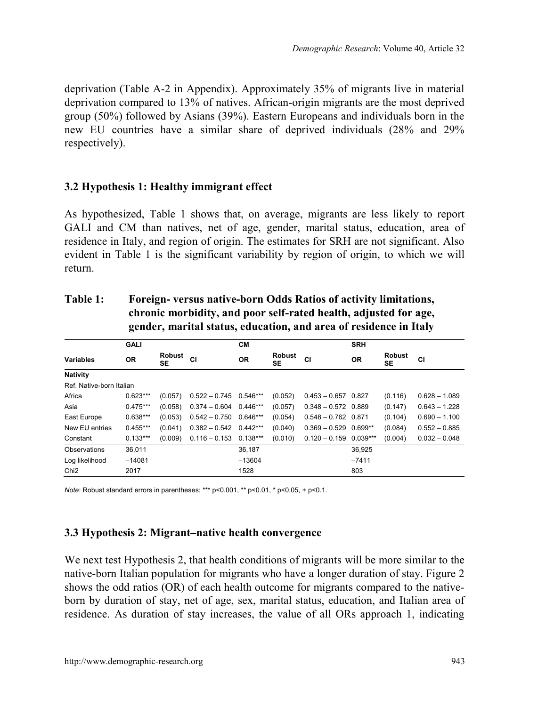deprivation (Table A-2 in Appendix). Approximately 35% of migrants live in material deprivation compared to 13% of natives. African-origin migrants are the most deprived group (50%) followed by Asians (39%). Eastern Europeans and individuals born in the new EU countries have a similar share of deprived individuals (28% and 29% respectively).

### **3.2 Hypothesis 1: Healthy immigrant effect**

As hypothesized, Table 1 shows that, on average, migrants are less likely to report GALI and CM than natives, net of age, gender, marital status, education, area of residence in Italy, and region of origin. The estimates for SRH are not significant. Also evident in Table 1 is the significant variability by region of origin, to which we will return.

|                          |            | CМ                  |                            |           | <b>SRH</b>                 |                          |           |                            |                 |
|--------------------------|------------|---------------------|----------------------------|-----------|----------------------------|--------------------------|-----------|----------------------------|-----------------|
| <b>Variables</b>         | <b>OR</b>  | <b>Robust</b><br>SE | CI                         | <b>OR</b> | <b>Robust</b><br><b>SE</b> | CI                       | <b>OR</b> | <b>Robust</b><br><b>SE</b> | <b>CI</b>       |
| Nativity                 |            |                     |                            |           |                            |                          |           |                            |                 |
| Ref. Native-born Italian |            |                     |                            |           |                            |                          |           |                            |                 |
| Africa                   | $0.623***$ | (0.057)             | $0.522 - 0.745$ 0.546***   |           | (0.052)                    | $0.453 - 0.657$ 0.827    |           | (0.116)                    | $0.628 - 1.089$ |
| Asia                     | $0.475***$ | (0.058)             | $0.374 - 0.604$ 0.446***   |           | (0.057)                    | $0.348 - 0.572$ 0.889    |           | (0.147)                    | $0.643 - 1.228$ |
| East Europe              | $0.638***$ | (0.053)             | $0.542 - 0.750$ $0.646***$ |           | (0.054)                    | $0.548 - 0.762$ 0.871    |           | (0.104)                    | $0.690 - 1.100$ |
| New EU entries           | $0.455***$ | (0.041)             | $0.382 - 0.542$ 0.442***   |           | (0.040)                    | $0.369 - 0.529$ 0.699**  |           | (0.084)                    | $0.552 - 0.885$ |
| Constant                 | $0.133***$ | (0.009)             | $0.116 - 0.153$ 0.138***   |           | (0.010)                    | $0.120 - 0.159$ 0.039*** |           | (0.004)                    | $0.032 - 0.048$ |
| Observations             | 36.011     |                     |                            | 36.187    |                            |                          | 36.925    |                            |                 |
| Log likelihood           | $-14081$   |                     |                            | $-13604$  |                            |                          | $-7411$   |                            |                 |
| Chi <sub>2</sub>         | 2017       |                     |                            | 1528      |                            |                          | 803       |                            |                 |

| Table 1: | Foreign-versus native-born Odds Ratios of activity limitations,   |
|----------|-------------------------------------------------------------------|
|          | chronic morbidity, and poor self-rated health, adjusted for age,  |
|          | gender, marital status, education, and area of residence in Italy |

*Note*: Robust standard errors in parentheses; \*\*\* p<0.001, \*\* p<0.01, \* p<0.05, + p<0.1.

#### **3.3 Hypothesis 2: Migrant–native health convergence**

We next test Hypothesis 2, that health conditions of migrants will be more similar to the native-born Italian population for migrants who have a longer duration of stay. Figure 2 shows the odd ratios (OR) of each health outcome for migrants compared to the nativeborn by duration of stay, net of age, sex, marital status, education, and Italian area of residence. As duration of stay increases, the value of all ORs approach 1, indicating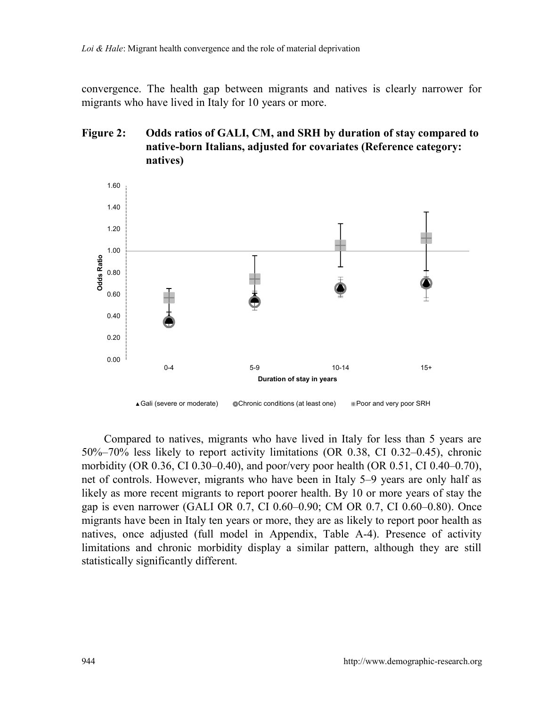convergence. The health gap between migrants and natives is clearly narrower for migrants who have lived in Italy for 10 years or more.

### **Figure 2: Odds ratios of GALI, CM, and SRH by duration of stay compared to native-born Italians, adjusted for covariates (Reference category: natives)**



Compared to natives, migrants who have lived in Italy for less than 5 years are 50%–70% less likely to report activity limitations (OR 0.38, CI 0.32–0.45), chronic morbidity (OR 0.36, CI 0.30–0.40), and poor/very poor health (OR 0.51, CI 0.40–0.70), net of controls. However, migrants who have been in Italy 5–9 years are only half as likely as more recent migrants to report poorer health. By 10 or more years of stay the gap is even narrower (GALI OR 0.7, CI 0.60–0.90; CM OR 0.7, CI 0.60–0.80). Once migrants have been in Italy ten years or more, they are as likely to report poor health as natives, once adjusted (full model in Appendix, Table A-4). Presence of activity limitations and chronic morbidity display a similar pattern, although they are still statistically significantly different.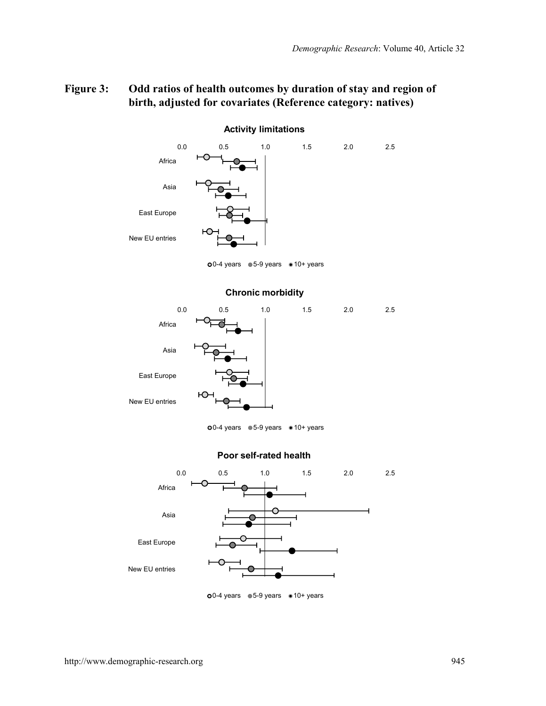### **Figure 3: Odd ratios of health outcomes by duration of stay and region of birth, adjusted for covariates (Reference category: natives)**



#### **Activity limitations**

 $00-4$  years  $0.5-9$  years  $0.10+$  years





**o**0-4 years ● 5-9 years ● 10+ years

#### **Poor self-rated health**



o0-4 years 65-9 years 10+ years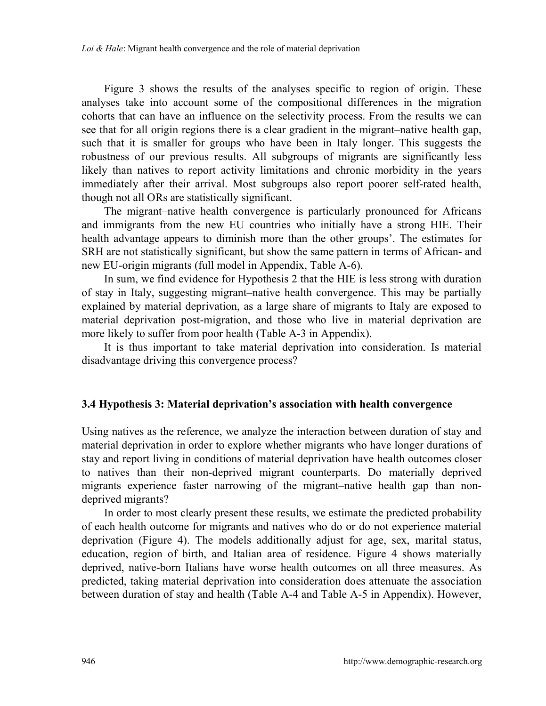Figure 3 shows the results of the analyses specific to region of origin. These analyses take into account some of the compositional differences in the migration cohorts that can have an influence on the selectivity process. From the results we can see that for all origin regions there is a clear gradient in the migrant–native health gap, such that it is smaller for groups who have been in Italy longer. This suggests the robustness of our previous results. All subgroups of migrants are significantly less likely than natives to report activity limitations and chronic morbidity in the years immediately after their arrival. Most subgroups also report poorer self-rated health, though not all ORs are statistically significant.

The migrant–native health convergence is particularly pronounced for Africans and immigrants from the new EU countries who initially have a strong HIE. Their health advantage appears to diminish more than the other groups'. The estimates for SRH are not statistically significant, but show the same pattern in terms of African- and new EU-origin migrants (full model in Appendix, Table A-6).

In sum, we find evidence for Hypothesis 2 that the HIE is less strong with duration of stay in Italy, suggesting migrant–native health convergence. This may be partially explained by material deprivation, as a large share of migrants to Italy are exposed to material deprivation post-migration, and those who live in material deprivation are more likely to suffer from poor health (Table A-3 in Appendix).

It is thus important to take material deprivation into consideration. Is material disadvantage driving this convergence process?

#### **3.4 Hypothesis 3: Material deprivation's association with health convergence**

Using natives as the reference, we analyze the interaction between duration of stay and material deprivation in order to explore whether migrants who have longer durations of stay and report living in conditions of material deprivation have health outcomes closer to natives than their non-deprived migrant counterparts. Do materially deprived migrants experience faster narrowing of the migrant–native health gap than nondeprived migrants?

In order to most clearly present these results, we estimate the predicted probability of each health outcome for migrants and natives who do or do not experience material deprivation (Figure 4). The models additionally adjust for age, sex, marital status, education, region of birth, and Italian area of residence. Figure 4 shows materially deprived, native-born Italians have worse health outcomes on all three measures. As predicted, taking material deprivation into consideration does attenuate the association between duration of stay and health (Table A-4 and Table A-5 in Appendix). However,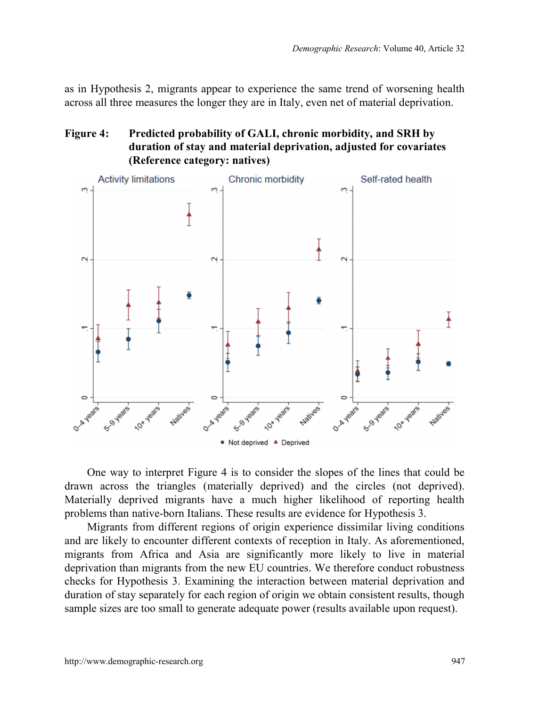as in Hypothesis 2, migrants appear to experience the same trend of worsening health across all three measures the longer they are in Italy, even net of material deprivation.

### **Figure 4: Predicted probability of GALI, chronic morbidity, and SRH by duration of stay and material deprivation, adjusted for covariates (Reference category: natives)**



One way to interpret Figure 4 is to consider the slopes of the lines that could be drawn across the triangles (materially deprived) and the circles (not deprived). Materially deprived migrants have a much higher likelihood of reporting health problems than native-born Italians. These results are evidence for Hypothesis 3.

Migrants from different regions of origin experience dissimilar living conditions and are likely to encounter different contexts of reception in Italy. As aforementioned, migrants from Africa and Asia are significantly more likely to live in material deprivation than migrants from the new EU countries. We therefore conduct robustness checks for Hypothesis 3. Examining the interaction between material deprivation and duration of stay separately for each region of origin we obtain consistent results, though sample sizes are too small to generate adequate power (results available upon request).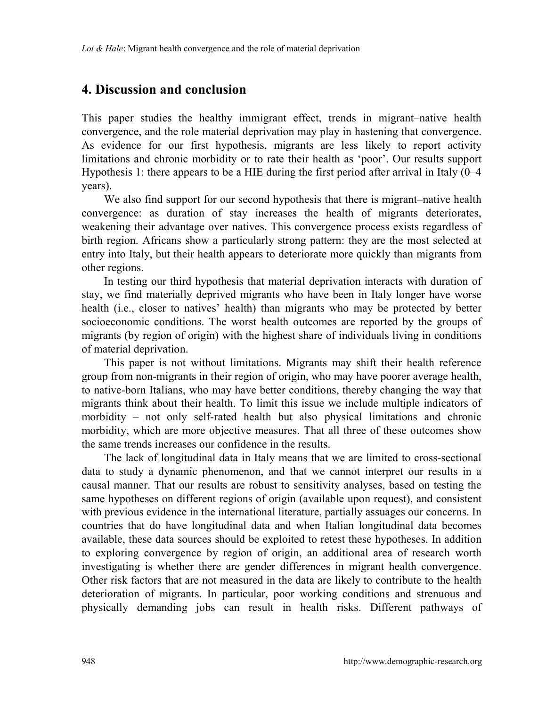# **4. Discussion and conclusion**

This paper studies the healthy immigrant effect, trends in migrant–native health convergence, and the role material deprivation may play in hastening that convergence. As evidence for our first hypothesis, migrants are less likely to report activity limitations and chronic morbidity or to rate their health as 'poor'. Our results support Hypothesis 1: there appears to be a HIE during the first period after arrival in Italy (0–4 years).

We also find support for our second hypothesis that there is migrant–native health convergence: as duration of stay increases the health of migrants deteriorates, weakening their advantage over natives. This convergence process exists regardless of birth region. Africans show a particularly strong pattern: they are the most selected at entry into Italy, but their health appears to deteriorate more quickly than migrants from other regions.

In testing our third hypothesis that material deprivation interacts with duration of stay, we find materially deprived migrants who have been in Italy longer have worse health (i.e., closer to natives' health) than migrants who may be protected by better socioeconomic conditions. The worst health outcomes are reported by the groups of migrants (by region of origin) with the highest share of individuals living in conditions of material deprivation.

This paper is not without limitations. Migrants may shift their health reference group from non-migrants in their region of origin, who may have poorer average health, to native-born Italians, who may have better conditions, thereby changing the way that migrants think about their health. To limit this issue we include multiple indicators of morbidity – not only self-rated health but also physical limitations and chronic morbidity, which are more objective measures. That all three of these outcomes show the same trends increases our confidence in the results.

The lack of longitudinal data in Italy means that we are limited to cross-sectional data to study a dynamic phenomenon, and that we cannot interpret our results in a causal manner. That our results are robust to sensitivity analyses, based on testing the same hypotheses on different regions of origin (available upon request), and consistent with previous evidence in the international literature, partially assuages our concerns. In countries that do have longitudinal data and when Italian longitudinal data becomes available, these data sources should be exploited to retest these hypotheses. In addition to exploring convergence by region of origin, an additional area of research worth investigating is whether there are gender differences in migrant health convergence. Other risk factors that are not measured in the data are likely to contribute to the health deterioration of migrants. In particular, poor working conditions and strenuous and physically demanding jobs can result in health risks. Different pathways of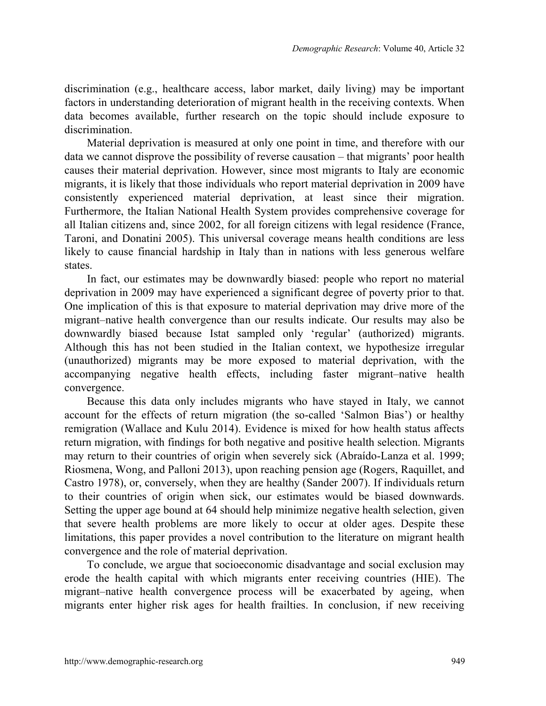discrimination (e.g., healthcare access, labor market, daily living) may be important factors in understanding deterioration of migrant health in the receiving contexts. When data becomes available, further research on the topic should include exposure to discrimination.

Material deprivation is measured at only one point in time, and therefore with our data we cannot disprove the possibility of reverse causation – that migrants' poor health causes their material deprivation. However, since most migrants to Italy are economic migrants, it is likely that those individuals who report material deprivation in 2009 have consistently experienced material deprivation, at least since their migration. Furthermore, the Italian National Health System provides comprehensive coverage for all Italian citizens and, since 2002, for all foreign citizens with legal residence (France, Taroni, and Donatini 2005). This universal coverage means health conditions are less likely to cause financial hardship in Italy than in nations with less generous welfare states.

In fact, our estimates may be downwardly biased: people who report no material deprivation in 2009 may have experienced a significant degree of poverty prior to that. One implication of this is that exposure to material deprivation may drive more of the migrant–native health convergence than our results indicate. Our results may also be downwardly biased because Istat sampled only 'regular' (authorized) migrants. Although this has not been studied in the Italian context, we hypothesize irregular (unauthorized) migrants may be more exposed to material deprivation, with the accompanying negative health effects, including faster migrant–native health convergence.

Because this data only includes migrants who have stayed in Italy, we cannot account for the effects of return migration (the so-called 'Salmon Bias') or healthy remigration (Wallace and Kulu 2014). Evidence is mixed for how health status affects return migration, with findings for both negative and positive health selection. Migrants may return to their countries of origin when severely sick (Abraído-Lanza et al. 1999; Riosmena, Wong, and Palloni 2013), upon reaching pension age (Rogers, Raquillet, and Castro 1978), or, conversely, when they are healthy (Sander 2007). If individuals return to their countries of origin when sick, our estimates would be biased downwards. Setting the upper age bound at 64 should help minimize negative health selection, given that severe health problems are more likely to occur at older ages. Despite these limitations, this paper provides a novel contribution to the literature on migrant health convergence and the role of material deprivation.

To conclude, we argue that socioeconomic disadvantage and social exclusion may erode the health capital with which migrants enter receiving countries (HIE). The migrant–native health convergence process will be exacerbated by ageing, when migrants enter higher risk ages for health frailties. In conclusion, if new receiving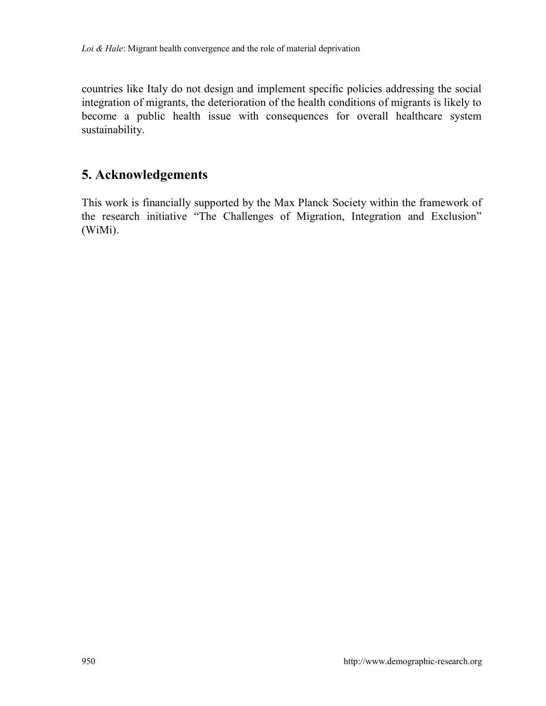countries like Italy do not design and implement specific policies addressing the social integration of migrants, the deterioration of the health conditions of migrants is likely to become a public health issue with consequences for overall healthcare system sustainability.

# **5. Acknowledgements**

This work is financially supported by the Max Planck Society within the framework of the research initiative "The Challenges of Migration, Integration and Exclusion" (WiMi).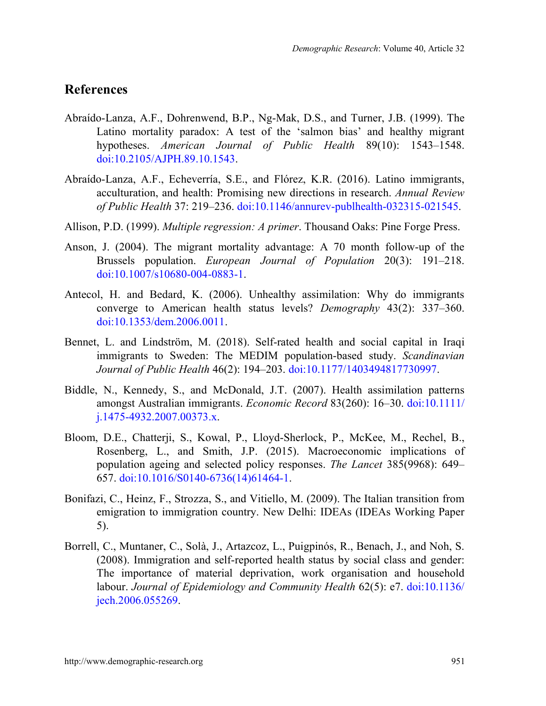## **References**

- Abraído-Lanza, A.F., Dohrenwend, B.P., Ng-Mak, D.S., and Turner, J.B. (1999). The Latino mortality paradox: A test of the 'salmon bias' and healthy migrant hypotheses. *American Journal of Public Health* 89(10): 1543–1548. [doi:10.2105/AJPH.89.10.1543.](https://doi.org/10.2105/AJPH.89.10.1543)
- Abraído-Lanza, A.F., Echeverría, S.E., and Flórez, K.R. (2016). Latino immigrants, acculturation, and health: Promising new directions in research. *Annual Review of Public Health* 37: 219–236. [doi:10.1146/annurev-publhealth-032315-021545.](https://doi.org/10.1146/annurev-publhealth-032315-021545)
- Allison, P.D. (1999). *Multiple regression: A primer*. Thousand Oaks: Pine Forge Press.
- Anson, J. (2004). The migrant mortality advantage: A 70 month follow-up of the Brussels population. *European Journal of Population* 20(3): 191–218. [doi:10.1007/s10680-004-0883-1.](https://doi.org/10.1007/s10680-004-0883-1)
- Antecol, H. and Bedard, K. (2006). Unhealthy assimilation: Why do immigrants converge to American health status levels? *Demography* 43(2): 337–360. [doi:10.1353/dem.2006.0011.](https://doi.org/10.1353/dem.2006.0011)
- Bennet, L. and Lindström, M. (2018). Self-rated health and social capital in Iraqi immigrants to Sweden: The MEDIM population-based study. *Scandinavian Journal of Public Health* 46(2): 194–203. [doi:10.1177/1403494817730997.](https://doi.org/10.1177/1403494817730997)
- Biddle, N., Kennedy, S., and McDonald, J.T. (2007). Health assimilation patterns amongst Australian immigrants. *Economic Record* 83(260): 16–30. [doi:10.1111/](https://doi.org/10.1111/j.1475-4932.2007.00373.x) [j.1475-4932.2007.00373.x.](https://doi.org/10.1111/j.1475-4932.2007.00373.x)
- Bloom, D.E., Chatterji, S., Kowal, P., Lloyd-Sherlock, P., McKee, M., Rechel, B., Rosenberg, L., and Smith, J.P. (2015). Macroeconomic implications of population ageing and selected policy responses. *The Lancet* 385(9968): 649– 657. [doi:10.1016/S0140-6736\(14\)61464-1.](https://doi.org/10.1016/S0140-6736(14)61464-1)
- Bonifazi, C., Heinz, F., Strozza, S., and Vitiello, M. (2009). The Italian transition from emigration to immigration country. New Delhi: IDEAs (IDEAs Working Paper 5).
- Borrell, C., Muntaner, C., Solà, J., Artazcoz, L., Puigpinós, R., Benach, J., and Noh, S. (2008). Immigration and self-reported health status by social class and gender: The importance of material deprivation, work organisation and household labour. *Journal of Epidemiology and Community Health* 62(5): e7. [doi:10.1136/](https://doi.org/10.1136/jech.2006.055269) [jech.2006.055269.](https://doi.org/10.1136/jech.2006.055269)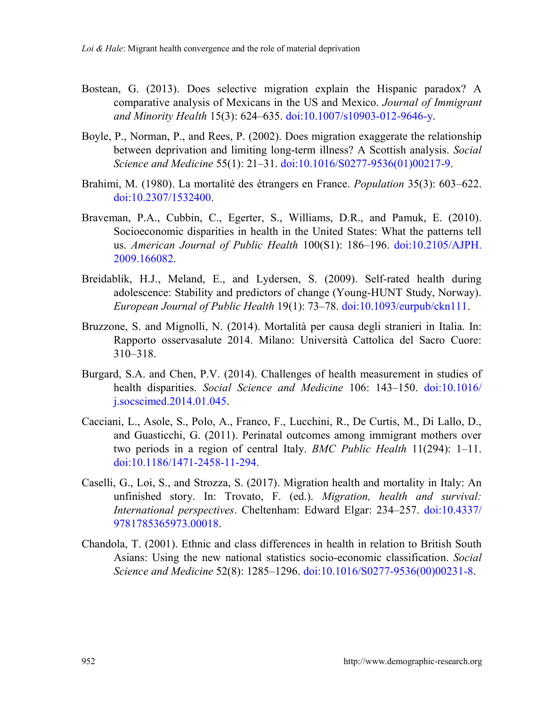- Bostean, G. (2013). Does selective migration explain the Hispanic paradox? A comparative analysis of Mexicans in the US and Mexico. *Journal of Immigrant and Minority Health* 15(3): 624–635. [doi:10.1007/s10903-012-9646-y.](https://doi.org/10.1007/s10903-012-9646-y)
- Boyle, P., Norman, P., and Rees, P. (2002). Does migration exaggerate the relationship between deprivation and limiting long-term illness? A Scottish analysis. *Social Science and Medicine* 55(1): 21–31. [doi:10.1016/S0277-9536\(01\)00217-9.](https://doi.org/10.1016/S0277-9536(01)00217-9)
- Brahimi, M. (1980). La mortalité des étrangers en France. *Population* 35(3): 603–622. [doi:10.2307/1532400.](https://doi.org/10.2307/1532400)
- Braveman, P.A., Cubbin, C., Egerter, S., Williams, D.R., and Pamuk, E. (2010). Socioeconomic disparities in health in the United States: What the patterns tell us. *American Journal of Public Health* 100(S1): 186–196. [doi:10.2105/AJPH.](https://doi.org/10.2105/AJPH.2009.166082) [2009.166082.](https://doi.org/10.2105/AJPH.2009.166082)
- Breidablik, H.J., Meland, E., and Lydersen, S. (2009). Self-rated health during adolescence: Stability and predictors of change (Young-HUNT Study, Norway). *European Journal of Public Health* 19(1): 73–78. [doi:10.1093/eurpub/ckn111.](https://doi.org/10.1093/eurpub/ckn111)
- Bruzzone, S. and Mignolli, N. (2014). Mortalità per causa degli stranieri in Italia. In: Rapporto osservasalute 2014. Milano: Università Cattolica del Sacro Cuore: 310–318.
- Burgard, S.A. and Chen, P.V. (2014). Challenges of health measurement in studies of health disparities. *Social Science and Medicine* 106: 143–150. [doi:10.1016/](https://doi.org/10.1016/j.socscimed.2014.01.045) [j.socscimed.2014.01.045.](https://doi.org/10.1016/j.socscimed.2014.01.045)
- Cacciani, L., Asole, S., Polo, A., Franco, F., Lucchini, R., De Curtis, M., Di Lallo, D., and Guasticchi, G. (2011). Perinatal outcomes among immigrant mothers over two periods in a region of central Italy. *BMC Public Health* 11(294): 1–11. [doi:10.1186/1471-2458-11-294.](https://doi.org/10.1186/1471-2458-11-294)
- Caselli, G., Loi, S., and Strozza, S. (2017). Migration health and mortality in Italy: An unfinished story. In: Trovato, F. (ed.). *Migration, health and survival: International perspectives*. Cheltenham: Edward Elgar: 234–257. [doi:10.4337/](https://doi.org/10.4337/9781785365973.00018) [9781785365973.00018.](https://doi.org/10.4337/9781785365973.00018)
- Chandola, T. (2001). Ethnic and class differences in health in relation to British South Asians: Using the new national statistics socio-economic classification. *Social Science and Medicine* 52(8): 1285–1296. [doi:10.1016/S0277-9536\(00\)00231-8.](https://doi.org/10.1016/S0277-9536(00)00231-8)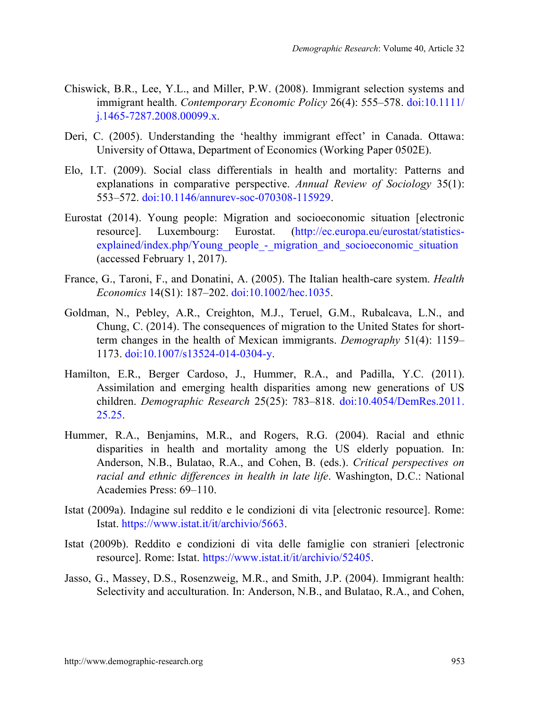- Chiswick, B.R., Lee, Y.L., and Miller, P.W. (2008). Immigrant selection systems and immigrant health. *Contemporary Economic Policy* 26(4): 555–578. [doi:10.1111/](https://doi.org/10.1111/j.1465-7287.2008.00099.x) [j.1465-7287.2008.00099.x.](https://doi.org/10.1111/j.1465-7287.2008.00099.x)
- Deri, C. (2005). Understanding the 'healthy immigrant effect' in Canada. Ottawa: University of Ottawa, Department of Economics (Working Paper 0502E).
- Elo, I.T. (2009). Social class differentials in health and mortality: Patterns and explanations in comparative perspective. *Annual Review of Sociology* 35(1): 553–572. [doi:10.1146/annurev-soc-070308-115929.](https://doi.org/10.1146/annurev-soc-070308-115929)
- Eurostat (2014). Young people: Migration and socioeconomic situation [electronic resource]. Luxembourg: Eurostat. [\(http://ec.europa.eu/eurostat/statistics](http://ec.europa.eu/eurostat/statistics-explained/index.php/Young_people_-_migration_and_socioeconomic_situation)explained/index.php/Young\_people - migration\_and\_socioeconomic\_situation (accessed February 1, 2017).
- France, G., Taroni, F., and Donatini, A. (2005). The Italian health-care system. *Health Economics* 14(S1): 187–202. [doi:10.1002/hec.1035.](https://doi.org/10.1002/hec.1035)
- Goldman, N., Pebley, A.R., Creighton, M.J., Teruel, G.M., Rubalcava, L.N., and Chung, C. (2014). The consequences of migration to the United States for shortterm changes in the health of Mexican immigrants. *Demography* 51(4): 1159– 1173. [doi:10.1007/s13524-014-0304-y.](https://doi.org/10.1007/s13524-014-0304-y)
- Hamilton, E.R., Berger Cardoso, J., Hummer, R.A., and Padilla, Y.C. (2011). Assimilation and emerging health disparities among new generations of US children. *Demographic Research* 25(25): 783–818. [doi:10.4054/DemRes.2011.](https://doi.org/10.4054/DemRes.2011.25.25) [25.25.](https://doi.org/10.4054/DemRes.2011.25.25)
- Hummer, R.A., Benjamins, M.R., and Rogers, R.G. (2004). Racial and ethnic disparities in health and mortality among the US elderly popuation. In: Anderson, N.B., Bulatao, R.A., and Cohen, B. (eds.). *Critical perspectives on racial and ethnic differences in health in late life*. Washington, D.C.: National Academies Press: 69–110.
- Istat (2009a). Indagine sul reddito e le condizioni di vita [electronic resource]. Rome: Istat. [https://www.istat.it/it/archivio/5663.](https://www.istat.it/it/archivio/5663)
- Istat (2009b). Reddito e condizioni di vita delle famiglie con stranieri [electronic resource]. Rome: Istat. [https://www.istat.it/it/archivio/52405.](https://www.istat.it/it/archivio/52405)
- Jasso, G., Massey, D.S., Rosenzweig, M.R., and Smith, J.P. (2004). Immigrant health: Selectivity and acculturation. In: Anderson, N.B., and Bulatao, R.A., and Cohen,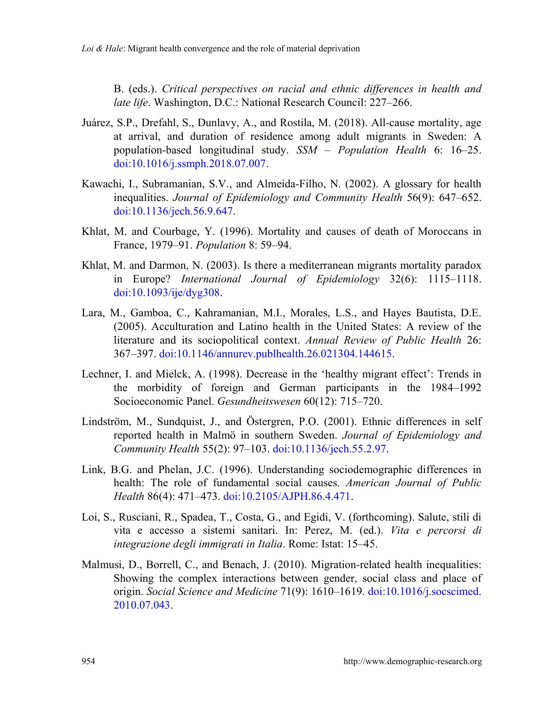B. (eds.). *Critical perspectives on racial and ethnic differences in health and late life*. Washington, D.C.: National Research Council: 227–266.

- Juárez, S.P., Drefahl, S., Dunlavy, A., and Rostila, M. (2018). All-cause mortality, age at arrival, and duration of residence among adult migrants in Sweden: A population-based longitudinal study. *SSM – Population Health* 6: 16–25. [doi:10.1016/j.ssmph.2018.07.007.](https://doi.org/10.1016/j.ssmph.2018.07.007)
- Kawachi, I., Subramanian, S.V., and Almeida-Filho, N. (2002). A glossary for health inequalities. *Journal of Epidemiology and Community Health* 56(9): 647–652. [doi:10.1136/jech.56.9.647.](https://doi.org/10.1136/jech.56.9.647)
- Khlat, M. and Courbage, Y. (1996). Mortality and causes of death of Moroccans in France, 1979–91. *Population* 8: 59–94.
- Khlat, M. and Darmon, N. (2003). Is there a mediterranean migrants mortality paradox in Europe? *International Journal of Epidemiology* 32(6): 1115–1118. [doi:10.1093/ije/dyg308.](https://doi.org/10.1093/ije/dyg308)
- Lara, M., Gamboa, C., Kahramanian, M.I., Morales, L.S., and Hayes Bautista, D.E. (2005). Acculturation and Latino health in the United States: A review of the literature and its sociopolitical context. *Annual Review of Public Health* 26: 367–397. [doi:10.1146/annurev.publhealth.26.021304.144615.](https://doi.org/10.1146/annurev.publhealth.26.021304.144615)
- Lechner, I. and Mielck, A. (1998). Decrease in the 'healthy migrant effect': Trends in the morbidity of foreign and German participants in the 1984–1992 Socioeconomic Panel. *Gesundheitswesen* 60(12): 715–720.
- Lindström, M., Sundquist, J., and Östergren, P.O. (2001). Ethnic differences in self reported health in Malmö in southern Sweden. *Journal of Epidemiology and Community Health* 55(2): 97–103. [doi:10.1136/jech.55.2.97.](https://doi.org/10.1136/jech.55.2.97)
- Link, B.G. and Phelan, J.C. (1996). Understanding sociodemographic differences in health: The role of fundamental social causes. *American Journal of Public Health* 86(4): 471–473. [doi:10.2105/AJPH.86.4.471.](https://doi.org/10.2105/AJPH.86.4.471)
- Loi, S., Rusciani, R., Spadea, T., Costa, G., and Egidi, V. (forthcoming). Salute, stili di vita e accesso a sistemi sanitari. In: Perez, M. (ed.). *Vita e percorsi di integrazione degli immigrati in Italia*. Rome: Istat: 15–45.
- Malmusi, D., Borrell, C., and Benach, J. (2010). Migration-related health inequalities: Showing the complex interactions between gender, social class and place of origin. *Social Science and Medicine* 71(9): 1610–1619. [doi:10.1016/j.socscimed.](https://doi.org/10.1016/j.socscimed.2010.07.043) [2010.07.043.](https://doi.org/10.1016/j.socscimed.2010.07.043)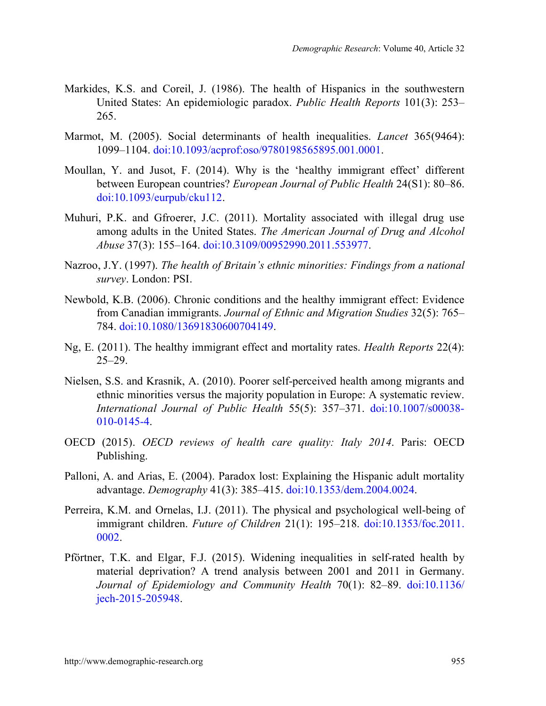- Markides, K.S. and Coreil, J. (1986). The health of Hispanics in the southwestern United States: An epidemiologic paradox. *Public Health Reports* 101(3): 253– 265.
- Marmot, M. (2005). Social determinants of health inequalities. *Lancet* 365(9464): 1099–1104. [doi:10.1093/acprof:oso/9780198565895.001.0001.](https://doi.org/10.1093/acprof:oso/9780198565895.001.0001)
- Moullan, Y. and Jusot, F. (2014). Why is the 'healthy immigrant effect' different between European countries? *European Journal of Public Health* 24(S1): 80–86. [doi:10.1093/eurpub/cku112.](https://doi.org/10.1093/eurpub/cku112)
- Muhuri, P.K. and Gfroerer, J.C. (2011). Mortality associated with illegal drug use among adults in the United States. *The American Journal of Drug and Alcohol Abuse* 37(3): 155–164. [doi:10.3109/00952990.2011.553977.](https://doi.org/10.3109/00952990.2011.553977)
- Nazroo, J.Y. (1997). *The health of Britain's ethnic minorities: Findings from a national survey*. London: PSI.
- Newbold, K.B. (2006). Chronic conditions and the healthy immigrant effect: Evidence from Canadian immigrants. *Journal of Ethnic and Migration Studies* 32(5): 765– 784. [doi:10.1080/13691830600704149.](https://doi.org/10.1080/13691830600704149)
- Ng, E. (2011). The healthy immigrant effect and mortality rates. *Health Reports* 22(4): 25–29.
- Nielsen, S.S. and Krasnik, A. (2010). Poorer self-perceived health among migrants and ethnic minorities versus the majority population in Europe: A systematic review. *International Journal of Public Health* 55(5): 357–371. [doi:10.1007/s00038-](https://doi.org/10.1007/s00038-010-0145-4) [010-0145-4.](https://doi.org/10.1007/s00038-010-0145-4)
- OECD (2015). *OECD reviews of health care quality: Italy 2014*. Paris: OECD Publishing.
- Palloni, A. and Arias, E. (2004). Paradox lost: Explaining the Hispanic adult mortality advantage. *Demography* 41(3): 385–415. [doi:10.1353/dem.2004.0024.](https://doi.org/10.1353/dem.2004.0024)
- Perreira, K.M. and Ornelas, I.J. (2011). The physical and psychological well-being of immigrant children. *Future of Children* 21(1): 195–218. [doi:10.1353/foc.2011.](https://doi.org/10.1353/foc.2011.0002) [0002.](https://doi.org/10.1353/foc.2011.0002)
- Pförtner, T.K. and Elgar, F.J. (2015). Widening inequalities in self-rated health by material deprivation? A trend analysis between 2001 and 2011 in Germany. *Journal of Epidemiology and Community Health* 70(1): 82–89. [doi:10.1136/](https://doi.org/10.1136/jech-2015-205948) [jech-2015-205948.](https://doi.org/10.1136/jech-2015-205948)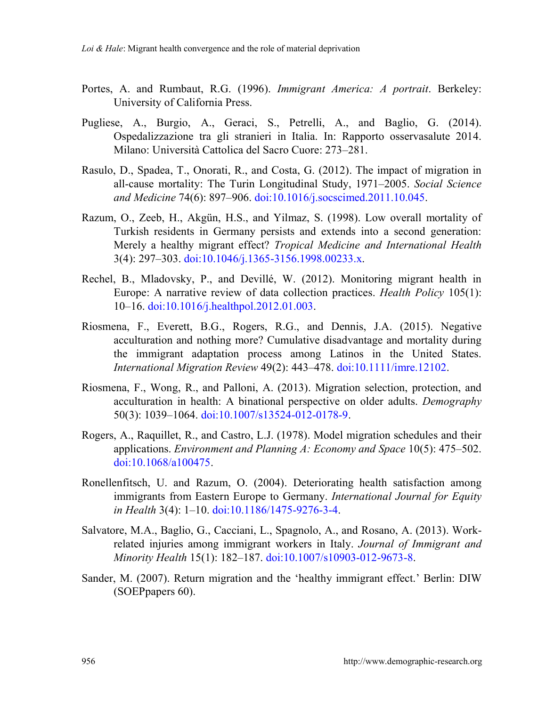- Portes, A. and Rumbaut, R.G. (1996). *Immigrant America: A portrait*. Berkeley: University of California Press.
- Pugliese, A., Burgio, A., Geraci, S., Petrelli, A., and Baglio, G. (2014). Ospedalizzazione tra gli stranieri in Italia. In: Rapporto osservasalute 2014. Milano: Università Cattolica del Sacro Cuore: 273–281.
- Rasulo, D., Spadea, T., Onorati, R., and Costa, G. (2012). The impact of migration in all-cause mortality: The Turin Longitudinal Study, 1971–2005. *Social Science and Medicine* 74(6): 897–906. [doi:10.1016/j.socscimed.2011.10.045.](https://doi.org/10.1016/j.socscimed.2011.10.045)
- Razum, O., Zeeb, H., Akgün, H.S., and Yilmaz, S. (1998). Low overall mortality of Turkish residents in Germany persists and extends into a second generation: Merely a healthy migrant effect? *Tropical Medicine and International Health* 3(4): 297–303. [doi:10.1046/j.1365-3156.1998.00233.x.](https://doi.org/10.1046/j.1365-3156.1998.00233.x)
- Rechel, B., Mladovsky, P., and Devillé, W. (2012). Monitoring migrant health in Europe: A narrative review of data collection practices. *Health Policy* 105(1): 10–16. [doi:10.1016/j.healthpol.2012.01.003.](https://doi.org/10.1016/j.healthpol.2012.01.003)
- Riosmena, F., Everett, B.G., Rogers, R.G., and Dennis, J.A. (2015). Negative acculturation and nothing more? Cumulative disadvantage and mortality during the immigrant adaptation process among Latinos in the United States. *International Migration Review* 49(2): 443–478. [doi:10.1111/imre.12102.](https://doi.org/10.1111/imre.12102)
- Riosmena, F., Wong, R., and Palloni, A. (2013). Migration selection, protection, and acculturation in health: A binational perspective on older adults. *Demography* 50(3): 1039–1064. [doi:10.1007/s13524-012-0178-9.](https://doi.org/10.1007/s13524-012-0178-9)
- Rogers, A., Raquillet, R., and Castro, L.J. (1978). Model migration schedules and their applications. *Environment and Planning A: Economy and Space* 10(5): 475–502. [doi:10.1068/a100475.](https://doi.org/10.1068/a100475)
- Ronellenfitsch, U. and Razum, O. (2004). Deteriorating health satisfaction among immigrants from Eastern Europe to Germany. *International Journal for Equity in Health* 3(4): 1–10. [doi:10.1186/1475-9276-3-4.](https://doi.org/10.1186/1475-9276-3-4)
- Salvatore, M.A., Baglio, G., Cacciani, L., Spagnolo, A., and Rosano, A. (2013). Workrelated injuries among immigrant workers in Italy. *Journal of Immigrant and Minority Health* 15(1): 182–187. [doi:10.1007/s10903-012-9673-8.](https://doi.org/10.1007/s10903-012-9673-8)
- Sander, M. (2007). Return migration and the 'healthy immigrant effect.' Berlin: DIW (SOEPpapers 60).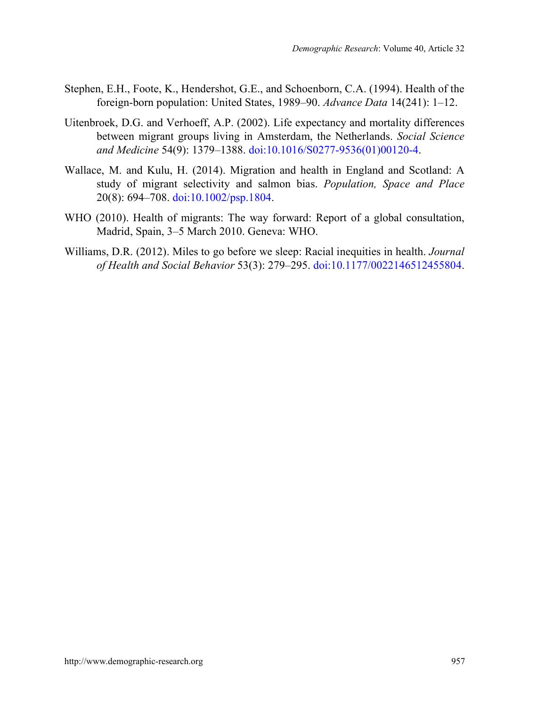- Stephen, E.H., Foote, K., Hendershot, G.E., and Schoenborn, C.A. (1994). Health of the foreign-born population: United States, 1989–90. *Advance Data* 14(241): 1–12.
- Uitenbroek, D.G. and Verhoeff, A.P. (2002). Life expectancy and mortality differences between migrant groups living in Amsterdam, the Netherlands. *Social Science and Medicine* 54(9): 1379–1388. [doi:10.1016/S0277-9536\(01\)00120-4.](https://doi.org/10.1016/S0277-9536(01)00120-4)
- Wallace, M. and Kulu, H. (2014). Migration and health in England and Scotland: A study of migrant selectivity and salmon bias. *Population, Space and Place* 20(8): 694–708. [doi:10.1002/psp.1804.](https://doi.org/10.1002/psp.1804)
- WHO (2010). Health of migrants: The way forward: Report of a global consultation, Madrid, Spain, 3–5 March 2010. Geneva: WHO.
- Williams, D.R. (2012). Miles to go before we sleep: Racial inequities in health. *Journal of Health and Social Behavior* 53(3): 279–295. [doi:10.1177/0022146512455804.](https://doi.org/10.1177/0022146512455804)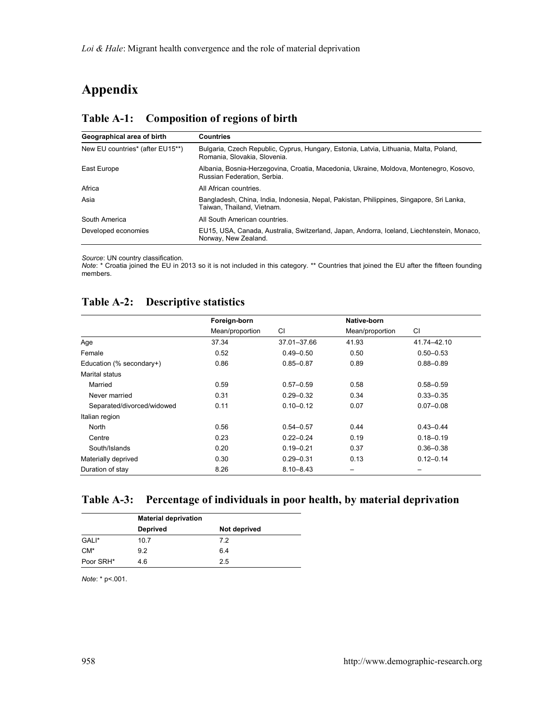# **Appendix**

| Geographical area of birth       | <b>Countries</b>                                                                                                       |
|----------------------------------|------------------------------------------------------------------------------------------------------------------------|
| New EU countries* (after EU15**) | Bulgaria, Czech Republic, Cyprus, Hungary, Estonia, Latvia, Lithuania, Malta, Poland,<br>Romania, Slovakia, Slovenia,  |
| East Europe                      | Albania, Bosnia-Herzegovina, Croatia, Macedonia, Ukraine, Moldova, Montenegro, Kosovo,<br>Russian Federation, Serbia.  |
| Africa                           | All African countries.                                                                                                 |
| Asia                             | Bangladesh, China, India, Indonesia, Nepal, Pakistan, Philippines, Singapore, Sri Lanka,<br>Taiwan, Thailand, Vietnam. |
| South America                    | All South American countries.                                                                                          |
| Developed economies              | EU15, USA, Canada, Australia, Switzerland, Japan, Andorra, Iceland, Liechtenstein, Monaco,<br>Norway, New Zealand.     |

#### **Table A-1: Composition of regions of birth**

*Source*: UN country classification.

*Note*: \* Croatia joined the EU in 2013 so it is not included in this category. \*\* Countries that joined the EU after the fifteen founding members.

### **Table A-2: Descriptive statistics**

|                            | Foreign-born    |               | Native-born     |               |
|----------------------------|-----------------|---------------|-----------------|---------------|
|                            | Mean/proportion | <b>CI</b>     | Mean/proportion | CI            |
| Age                        | 37.34           | 37.01-37.66   | 41.93           | 41.74-42.10   |
| Female                     | 0.52            | $0.49 - 0.50$ | 0.50            | $0.50 - 0.53$ |
| Education (% secondary+)   | 0.86            | $0.85 - 0.87$ | 0.89            | $0.88 - 0.89$ |
| Marital status             |                 |               |                 |               |
| Married                    | 0.59            | $0.57 - 0.59$ | 0.58            | $0.58 - 0.59$ |
| Never married              | 0.31            | $0.29 - 0.32$ | 0.34            | $0.33 - 0.35$ |
| Separated/divorced/widowed | 0.11            | $0.10 - 0.12$ | 0.07            | $0.07 - 0.08$ |
| Italian region             |                 |               |                 |               |
| North                      | 0.56            | $0.54 - 0.57$ | 0.44            | $0.43 - 0.44$ |
| Centre                     | 0.23            | $0.22 - 0.24$ | 0.19            | $0.18 - 0.19$ |
| South/Islands              | 0.20            | $0.19 - 0.21$ | 0.37            | $0.36 - 0.38$ |
| Materially deprived        | 0.30            | $0.29 - 0.31$ | 0.13            | $0.12 - 0.14$ |
| Duration of stay           | 8.26            | $8.10 - 8.43$ |                 |               |

### **Table A-3: Percentage of individuals in poor health, by material deprivation**

|           | <b>Material deprivation</b> |              |  |  |  |  |
|-----------|-----------------------------|--------------|--|--|--|--|
|           | Deprived                    | Not deprived |  |  |  |  |
| GALI*     | 10.7                        | 7.2          |  |  |  |  |
| $CM*$     | 9.2                         | 6.4          |  |  |  |  |
| Poor SRH* | 4.6                         | 2.5          |  |  |  |  |

*Note*: \* p<.001.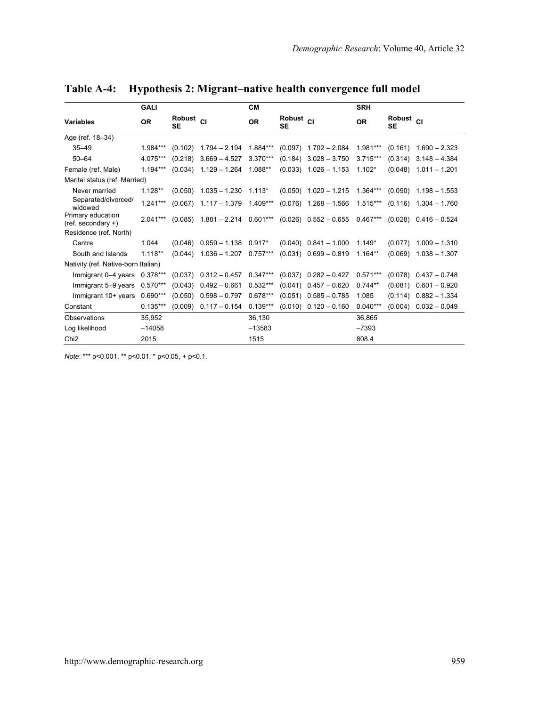|                                           | <b>GALI</b> |                                   |                                                                | <b>CM</b>  |                                   |                                                                                           | <b>SRH</b> |                                   |                           |
|-------------------------------------------|-------------|-----------------------------------|----------------------------------------------------------------|------------|-----------------------------------|-------------------------------------------------------------------------------------------|------------|-----------------------------------|---------------------------|
| Variables                                 | <b>OR</b>   | Robust <sub>Cl</sub><br><b>SE</b> |                                                                | <b>OR</b>  | Robust <sub>Cl</sub><br><b>SE</b> |                                                                                           | <b>OR</b>  | Robust <sub>CI</sub><br><b>SE</b> |                           |
| Age (ref. 18-34)                          |             |                                   |                                                                |            |                                   |                                                                                           |            |                                   |                           |
| $35 - 49$                                 | $1.984***$  |                                   | $(0.102)$ 1.794 - 2.194                                        | 1.884***   |                                   | $(0.097)$ 1.702 - 2.084                                                                   | 1.981***   |                                   | $(0.161)$ 1.690 - 2.323   |
| $50 - 64$                                 | 4.075***    | (0.218)                           | $3.669 - 4.527$                                                | $3.370***$ |                                   | $(0.184)$ 3.028 - 3.750                                                                   | $3.715***$ |                                   | $(0.314)$ $3.148 - 4.384$ |
| Female (ref. Male)                        | $1.194***$  |                                   | $(0.034)$ 1.129 - 1.264 1.088**                                |            |                                   | $(0.033)$ 1.026 - 1.153                                                                   | $1.102*$   |                                   | $(0.048)$ 1.011 - 1.201   |
| Marital status (ref. Married)             |             |                                   |                                                                |            |                                   |                                                                                           |            |                                   |                           |
| Never married                             | $1.128**$   |                                   | $(0.050)$ 1.035 - 1.230 1.113*                                 |            |                                   | $(0.050)$ 1.020 - 1.215 1.364*** $(0.090)$ 1.198 - 1.553                                  |            |                                   |                           |
| Separated/divorced/<br>widowed            | $1.241***$  |                                   | $(0.067)$ 1.117 - 1.379 1.409***                               |            |                                   | $(0.076)$ 1.268 - 1.566 1.515***                                                          |            |                                   | $(0.116)$ 1.304 - 1.760   |
| Primary education<br>$(ref. secondary +)$ | $2.041***$  |                                   |                                                                |            |                                   | $(0.085)$ 1.881 - 2.214 0.601*** $(0.026)$ 0.552 - 0.655 0.467*** $(0.028)$ 0.416 - 0.524 |            |                                   |                           |
| Residence (ref. North)                    |             |                                   |                                                                |            |                                   |                                                                                           |            |                                   |                           |
| Centre                                    | 1.044       |                                   | $(0.046)$ $0.959 - 1.138$ $0.917*$                             |            |                                   | $(0.040)$ $0.841 - 1.000$                                                                 | $1.149*$   |                                   | $(0.077)$ 1.009 - 1.310   |
| South and Islands                         | $1.118**$   |                                   | $(0.044)$ 1.036 - 1.207 0.757*** $(0.031)$ 0.699 - 0.819       |            |                                   |                                                                                           | $1.164**$  |                                   | $(0.069)$ 1.038 - 1.307   |
| Nativity (ref. Native-born Italian)       |             |                                   |                                                                |            |                                   |                                                                                           |            |                                   |                           |
| Immigrant 0-4 years                       | $0.378***$  |                                   | $(0.037)$ $0.312 - 0.457$ $0.347***$ $(0.037)$ $0.282 - 0.427$ |            |                                   |                                                                                           | $0.571***$ |                                   | $(0.078)$ $0.437 - 0.748$ |
| Immigrant 5-9 years                       | $0.570***$  | (0.043)                           | $0.492 - 0.661$                                                | $0.532***$ |                                   | $(0.041)$ $0.457 - 0.620$                                                                 | $0.744**$  |                                   | $(0.081)$ $0.601 - 0.920$ |
| Immigrant 10+ years                       | $0.690***$  | (0.050)                           | $0.598 - 0.797$                                                | $0.678***$ |                                   | $(0.051)$ $0.585 - 0.785$                                                                 | 1.085      | (0.114)                           | $0.882 - 1.334$           |
| Constant                                  | $0.135***$  | (0.009)                           | $0.117 - 0.154$                                                | $0.139***$ |                                   | $(0.010)$ $0.120 - 0.160$                                                                 | $0.040***$ | (0.004)                           | $0.032 - 0.049$           |
| Observations                              | 35.952      |                                   |                                                                | 36.130     |                                   |                                                                                           | 36.865     |                                   |                           |
| Log likelihood                            | $-14058$    |                                   |                                                                | $-13583$   |                                   |                                                                                           | $-7393$    |                                   |                           |
| Chi <sub>2</sub>                          | 2015        |                                   |                                                                | 1515       |                                   |                                                                                           | 808.4      |                                   |                           |

**Table A-4: Hypothesis 2: Migrant–native health convergence full model**

*Note*: \*\*\* p<0.001, \*\* p<0.01, \* p<0.05, + p<0.1.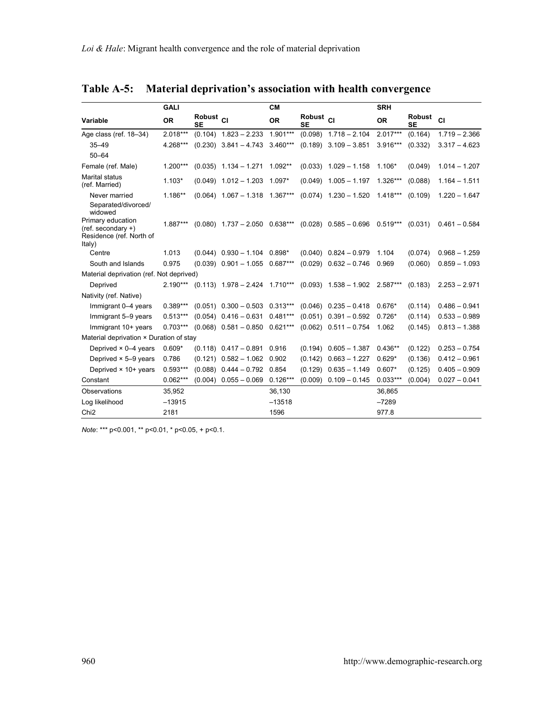|                                                                                   | GALI       |                                   |                                      | <b>CM</b>  |                                   |                                      | <b>SRH</b> |                            |                 |
|-----------------------------------------------------------------------------------|------------|-----------------------------------|--------------------------------------|------------|-----------------------------------|--------------------------------------|------------|----------------------------|-----------------|
| Variable                                                                          | <b>OR</b>  | Robust <sub>CI</sub><br><b>SE</b> |                                      | <b>OR</b>  | Robust <sub>CI</sub><br><b>SE</b> |                                      | <b>OR</b>  | <b>Robust</b><br><b>SE</b> | CI              |
| Age class (ref. 18-34)                                                            | $2.018***$ |                                   | $(0.104)$ 1.823 - 2.233              | $1.901***$ |                                   | $(0.098)$ 1.718 - 2.104              | $2.017***$ | (0.164)                    | $1.719 - 2.366$ |
| $35 - 49$                                                                         | 4.268***   |                                   | $(0.230)$ 3.841 - 4.743 3.460***     |            |                                   | $(0.189)$ 3.109 - 3.851              | 3.916***   | (0.332)                    | $3.317 - 4.623$ |
| $50 - 64$                                                                         |            |                                   |                                      |            |                                   |                                      |            |                            |                 |
| Female (ref. Male)                                                                | 1.200***   |                                   | $(0.035)$ 1.134 - 1.271 1.092**      |            |                                   | $(0.033)$ 1.029 - 1.158              | $1.106*$   | (0.049)                    | $1.014 - 1.207$ |
| Marital status<br>(ref. Married)                                                  | $1.103*$   |                                   | $(0.049)$ 1.012 - 1.203              | 1.097*     | (0.049)                           | $1.005 - 1.197$                      | $1.326***$ | (0.088)                    | $1.164 - 1.511$ |
| Never married<br>Separated/divorced/<br>widowed                                   | 1.186**    |                                   | $(0.064)$ 1.067 - 1.318 1.367***     |            |                                   | $(0.074)$ 1.230 - 1.520 1.418***     |            | (0.109)                    | $1.220 - 1.647$ |
| Primary education<br>$(ref.$ secondary $+)$<br>Residence (ref. North of<br>Italy) | $1.887***$ |                                   | $(0.080)$ 1.737 - 2.050 0.638***     |            |                                   | $(0.028)$ $0.585 - 0.696$ $0.519***$ |            | (0.031)                    | $0.461 - 0.584$ |
| Centre                                                                            | 1.013      |                                   | $(0.044)$ $0.930 - 1.104$ $0.898*$   |            |                                   | $(0.040)$ $0.824 - 0.979$            | 1.104      | (0.074)                    | $0.968 - 1.259$ |
| South and Islands                                                                 | 0.975      |                                   | $(0.039)$ $0.901 - 1.055$ $0.687***$ |            |                                   | $(0.029)$ $0.632 - 0.746$            | 0.969      | (0.060)                    | $0.859 - 1.093$ |
| Material deprivation (ref. Not deprived)                                          |            |                                   |                                      |            |                                   |                                      |            |                            |                 |
| Deprived                                                                          | $2.190***$ |                                   | $(0.113)$ 1.978 - 2.424 1.710***     |            |                                   | $(0.093)$ 1.538 - 1.902 2.587***     |            | (0.183)                    | $2.253 - 2.971$ |
| Nativity (ref. Native)                                                            |            |                                   |                                      |            |                                   |                                      |            |                            |                 |
| Immigrant 0-4 years                                                               | $0.389***$ |                                   | $(0.051)$ $0.300 - 0.503$ $0.313***$ |            |                                   | $(0.046)$ $0.235 - 0.418$            | $0.676*$   | (0.114)                    | $0.486 - 0.941$ |
| Immigrant 5-9 years                                                               | $0.513***$ |                                   | $(0.054)$ $0.416 - 0.631$ $0.481***$ |            |                                   | $(0.051)$ $0.391 - 0.592$            | $0.726*$   | (0.114)                    | $0.533 - 0.989$ |
| Immigrant 10+ years                                                               | $0.703***$ |                                   | $(0.068)$ $0.581 - 0.850$ $0.621***$ |            |                                   | $(0.062)$ $0.511 - 0.754$            | 1.062      | (0.145)                    | $0.813 - 1.388$ |
| Material deprivation × Duration of stay                                           |            |                                   |                                      |            |                                   |                                      |            |                            |                 |
| Deprived $\times$ 0-4 years                                                       | $0.609*$   |                                   | $(0.118)$ $0.417 - 0.891$ 0.916      |            |                                   | $(0.194)$ $0.605 - 1.387$            | $0.436**$  | (0.122)                    | $0.253 - 0.754$ |
| Deprived $\times$ 5-9 years                                                       | 0.786      |                                   | $(0.121)$ $0.582 - 1.062$ 0.902      |            |                                   | $(0.142)$ $0.663 - 1.227$            | $0.629*$   | (0.136)                    | $0.412 - 0.961$ |
| Deprived × 10+ years                                                              | $0.593***$ |                                   | $(0.088)$ $0.444 - 0.792$ 0.854      |            |                                   | $(0.129)$ $0.635 - 1.149$            | $0.607*$   | (0.125)                    | $0.405 - 0.909$ |
| Constant                                                                          | $0.062***$ |                                   | $(0.004)$ $0.055 - 0.069$ $0.126***$ |            | (0.009)                           | $0.109 - 0.145$                      | $0.033***$ | (0.004)                    | $0.027 - 0.041$ |
| Observations                                                                      | 35,952     |                                   |                                      | 36,130     |                                   |                                      | 36,865     |                            |                 |
| Log likelihood                                                                    | $-13915$   |                                   |                                      | $-13518$   |                                   |                                      | $-7289$    |                            |                 |
| Chi <sub>2</sub>                                                                  | 2181       |                                   |                                      | 1596       |                                   |                                      | 977.8      |                            |                 |

**Table A-5: Material deprivation's association with health convergence**

*Note*: \*\*\* p<0.001, \*\* p<0.01, \* p<0.05, + p<0.1.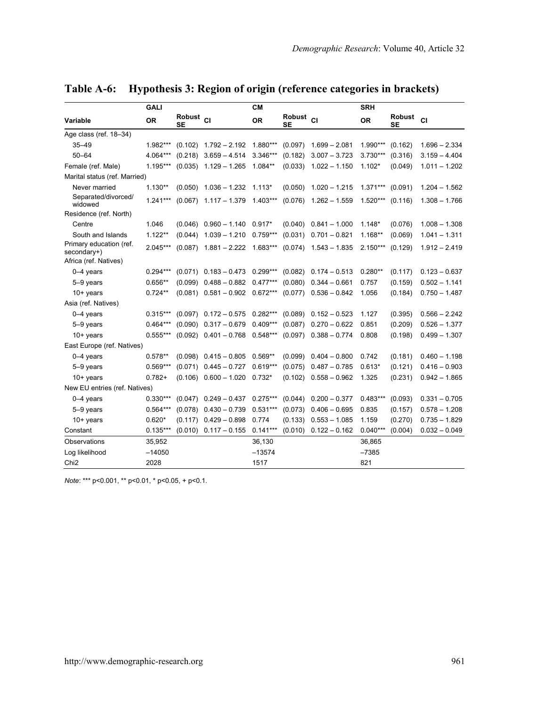|                                        | <b>GALI</b> |                            |                                      | <b>CM</b>  |                            |                           | <b>SRH</b>         |              |                 |
|----------------------------------------|-------------|----------------------------|--------------------------------------|------------|----------------------------|---------------------------|--------------------|--------------|-----------------|
| Variable                               | <b>OR</b>   | Robust <sub>CI</sub><br>SE |                                      | <b>OR</b>  | Robust <sub>CI</sub><br>SE |                           | <b>OR</b>          | Robust<br>SE | <b>CI</b>       |
| Age class (ref. 18-34)                 |             |                            |                                      |            |                            |                           |                    |              |                 |
| $35 - 49$                              | 1.982***    |                            | $(0.102)$ 1.792 - 2.192              | 1.880***   | (0.097)                    | $1.699 - 2.081$           | 1.990***           | (0.162)      | $1.696 - 2.334$ |
| $50 - 64$                              | 4.064***    |                            | $(0.218)$ 3.659 - 4.514              | $3.346***$ | (0.182)                    | $3.007 - 3.723$           | 3.730***           | (0.316)      | $3.159 - 4.404$ |
| Female (ref. Male)                     | $1.195***$  |                            | $(0.035)$ 1.129 - 1.265              | $1.084**$  |                            | $(0.033)$ 1.022 - 1.150   | $1.102*$           | (0.049)      | $1.011 - 1.202$ |
| Marital status (ref. Married)          |             |                            |                                      |            |                            |                           |                    |              |                 |
| Never married                          | $1.130**$   |                            | $(0.050)$ 1.036 - 1.232 1.113*       |            |                            | $(0.050)$ 1.020 - 1.215   | $1.371***$ (0.091) |              | $1.204 - 1.562$ |
| Separated/divorced/<br>widowed         | $1.241***$  |                            | $(0.067)$ 1.117 - 1.379              | 1.403***   |                            | $(0.076)$ 1.262 - 1.559   | $1.520***$         | (0.116)      | $1.308 - 1.766$ |
| Residence (ref. North)                 |             |                            |                                      |            |                            |                           |                    |              |                 |
| Centre                                 | 1.046       |                            | $(0.046)$ $0.960 - 1.140$            | $0.917*$   |                            | $(0.040)$ $0.841 - 1.000$ | $1.148*$           | (0.076)      | $1.008 - 1.308$ |
| South and Islands                      | $1.122**$   |                            | $(0.044)$ 1.039 - 1.210              | $0.759***$ |                            | $(0.031)$ $0.701 - 0.821$ | $1.168**$          | (0.069)      | $1.041 - 1.311$ |
| Primary education (ref.<br>secondary+) | $2.045***$  |                            | $(0.087)$ 1.881 - 2.222 1.683***     |            |                            | $(0.074)$ 1.543 - 1.835   | $2.150***$         | (0.129)      | $1.912 - 2.419$ |
| Africa (ref. Natives)                  |             |                            |                                      |            |                            |                           |                    |              |                 |
| $0-4$ years                            | $0.294***$  |                            | $(0.071)$ $0.183 - 0.473$ $0.299***$ |            | (0.082)                    | $0.174 - 0.513$           | $0.280**$          | (0.117)      | $0.123 - 0.637$ |
| 5-9 years                              | $0.656**$   |                            | $(0.099)$ $0.488 - 0.882$ $0.477***$ |            | (0.080)                    | $0.344 - 0.661$           | 0.757              | (0.159)      | $0.502 - 1.141$ |
| $10+$ years                            | $0.724**$   |                            | $(0.081)$ $0.581 - 0.902$ $0.672***$ |            |                            | $(0.077)$ 0.536 - 0.842   | 1.056              | (0.184)      | $0.750 - 1.487$ |
| Asia (ref. Natives)                    |             |                            |                                      |            |                            |                           |                    |              |                 |
| $0-4$ years                            | $0.315***$  |                            | $(0.097)$ $0.172 - 0.575$ $0.282***$ |            |                            | $(0.089)$ $0.152 - 0.523$ | 1.127              | (0.395)      | $0.566 - 2.242$ |
| 5-9 years                              | $0.464***$  |                            | $(0.090)$ $0.317 - 0.679$            | $0.409***$ | (0.087)                    | $0.270 - 0.622$           | 0.851              | (0.209)      | $0.526 - 1.377$ |
| $10+$ years                            | $0.555***$  |                            | $(0.092)$ $0.401 - 0.768$            | $0.548***$ | (0.097)                    | $0.388 - 0.774$           | 0.808              | (0.198)      | $0.499 - 1.307$ |
| East Europe (ref. Natives)             |             |                            |                                      |            |                            |                           |                    |              |                 |
| $0-4$ years                            | $0.578**$   |                            | $(0.098)$ $0.415 - 0.805$            | $0.569**$  | (0.099)                    | $0.404 - 0.800$           | 0.742              | (0.181)      | $0.460 - 1.198$ |
| 5-9 years                              | $0.569***$  |                            | $(0.071)$ $0.445 - 0.727$            | $0.619***$ | (0.075)                    | $0.487 - 0.785$           | $0.613*$           | (0.121)      | $0.416 - 0.903$ |
| $10+$ years                            | $0.782+$    |                            | $(0.106)$ $0.600 - 1.020$            | $0.732*$   | (0.102)                    | $0.558 - 0.962$           | 1.325              | (0.231)      | $0.942 - 1.865$ |
| New EU entries (ref. Natives)          |             |                            |                                      |            |                            |                           |                    |              |                 |
| $0-4$ years                            | $0.330***$  |                            | $(0.047)$ $0.249 - 0.437$            | $0.275***$ | (0.044)                    | $0.200 - 0.377$           | $0.483***$         | (0.093)      | $0.331 - 0.705$ |
| 5-9 years                              | $0.564***$  |                            | $(0.078)$ $0.430 - 0.739$            | $0.531***$ | (0.073)                    | $0.406 - 0.695$           | 0.835              | (0.157)      | $0.578 - 1.208$ |
| $10+$ years                            | $0.620*$    |                            | $(0.117)$ $0.429 - 0.898$            | 0.774      | (0.133)                    | $0.553 - 1.085$           | 1.159              | (0.270)      | $0.735 - 1.829$ |
| Constant                               | $0.135***$  |                            | $(0.010)$ $0.117 - 0.155$            | $0.141***$ |                            | $(0.010)$ $0.122 - 0.162$ | $0.040***$         | (0.004)      | $0.032 - 0.049$ |
| Observations                           | 35,952      |                            |                                      | 36,130     |                            |                           | 36,865             |              |                 |
| Log likelihood                         | $-14050$    |                            |                                      | $-13574$   |                            |                           | $-7385$            |              |                 |
| Chi <sub>2</sub>                       | 2028        |                            |                                      | 1517       |                            |                           | 821                |              |                 |

**Table A-6: Hypothesis 3: Region of origin (reference categories in brackets)**

*Note*: \*\*\* p<0.001, \*\* p<0.01, \* p<0.05, + p<0.1.